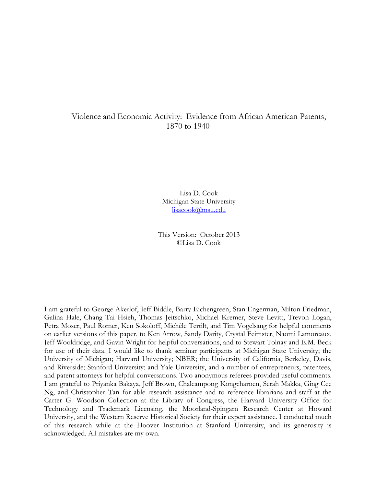## Violence and Economic Activity: Evidence from African American Patents, 1870 to 1940

Lisa D. Cook Michigan State University lisacook@msu.edu

This Version: October 2013 ©Lisa D. Cook

I am grateful to George Akerlof, Jeff Biddle, Barry Eichengreen, Stan Engerman, Milton Friedman, Galina Hale, Chang Tai Hsieh, Thomas Jeitschko, Michael Kremer, Steve Levitt, Trevon Logan, Petra Moser, Paul Romer, Ken Sokoloff, Michèle Tertilt, and Tim Vogelsang for helpful comments on earlier versions of this paper, to Ken Arrow, Sandy Darity, Crystal Feimster, Naomi Lamoreaux, Jeff Wooldridge, and Gavin Wright for helpful conversations, and to Stewart Tolnay and E.M. Beck for use of their data. I would like to thank seminar participants at Michigan State University; the University of Michigan; Harvard University; NBER; the University of California, Berkeley, Davis, and Riverside; Stanford University; and Yale University, and a number of entrepreneurs, patentees, and patent attorneys for helpful conversations. Two anonymous referees provided useful comments. I am grateful to Priyanka Bakaya, Jeff Brown, Chaleampong Kongcharoen, Serah Makka, Ging Cee Ng, and Christopher Tan for able research assistance and to reference librarians and staff at the Carter G. Woodson Collection at the Library of Congress, the Harvard University Office for Technology and Trademark Licensing, the Moorland-Spingarn Research Center at Howard University, and the Western Reserve Historical Society for their expert assistance. I conducted much of this research while at the Hoover Institution at Stanford University, and its generosity is acknowledged. All mistakes are my own.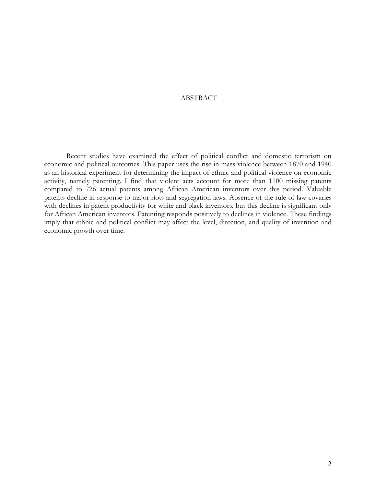## ABSTRACT

Recent studies have examined the effect of political conflict and domestic terrorism on economic and political outcomes. This paper uses the rise in mass violence between 1870 and 1940 as an historical experiment for determining the impact of ethnic and political violence on economic activity, namely patenting. I find that violent acts account for more than 1100 missing patents compared to 726 actual patents among African American inventors over this period. Valuable patents decline in response to major riots and segregation laws. Absence of the rule of law covaries with declines in patent productivity for white and black inventors, but this decline is significant only for African American inventors. Patenting responds positively to declines in violence. These findings imply that ethnic and political conflict may affect the level, direction, and quality of invention and economic growth over time.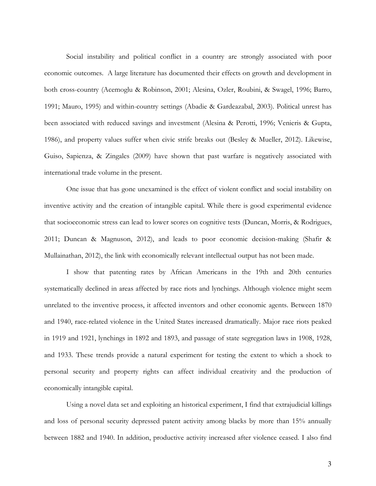Social instability and political conflict in a country are strongly associated with poor economic outcomes. A large literature has documented their effects on growth and development in both cross-country (Acemoglu & Robinson, 2001; Alesina, Ozler, Roubini, & Swagel, 1996; Barro, 1991; Mauro, 1995) and within-country settings (Abadie & Gardeazabal, 2003). Political unrest has been associated with reduced savings and investment (Alesina & Perotti, 1996; Venieris & Gupta, 1986), and property values suffer when civic strife breaks out (Besley & Mueller, 2012). Likewise, Guiso, Sapienza, & Zingales (2009) have shown that past warfare is negatively associated with international trade volume in the present.

One issue that has gone unexamined is the effect of violent conflict and social instability on inventive activity and the creation of intangible capital. While there is good experimental evidence that socioeconomic stress can lead to lower scores on cognitive tests (Duncan, Morris, & Rodrigues, 2011; Duncan & Magnuson, 2012), and leads to poor economic decision-making (Shafir & Mullainathan, 2012), the link with economically relevant intellectual output has not been made.

I show that patenting rates by African Americans in the 19th and 20th centuries systematically declined in areas affected by race riots and lynchings. Although violence might seem unrelated to the inventive process, it affected inventors and other economic agents. Between 1870 and 1940, race-related violence in the United States increased dramatically. Major race riots peaked in 1919 and 1921, lynchings in 1892 and 1893, and passage of state segregation laws in 1908, 1928, and 1933. These trends provide a natural experiment for testing the extent to which a shock to personal security and property rights can affect individual creativity and the production of economically intangible capital.

Using a novel data set and exploiting an historical experiment, I find that extrajudicial killings and loss of personal security depressed patent activity among blacks by more than 15% annually between 1882 and 1940. In addition, productive activity increased after violence ceased. I also find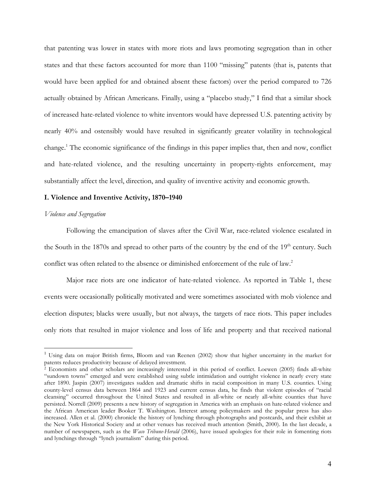that patenting was lower in states with more riots and laws promoting segregation than in other states and that these factors accounted for more than 1100 "missing" patents (that is, patents that would have been applied for and obtained absent these factors) over the period compared to 726 actually obtained by African Americans. Finally, using a "placebo study," I find that a similar shock of increased hate-related violence to white inventors would have depressed U.S. patenting activity by nearly 40% and ostensibly would have resulted in significantly greater volatility in technological change.<sup>1</sup> The economic significance of the findings in this paper implies that, then and now, conflict and hate-related violence, and the resulting uncertainty in property-rights enforcement, may substantially affect the level, direction, and quality of inventive activity and economic growth.

#### **I. Violence and Inventive Activity, 1870–1940**

#### *Violence and Segregation*

-

Following the emancipation of slaves after the Civil War, race-related violence escalated in the South in the 1870s and spread to other parts of the country by the end of the  $19<sup>th</sup>$  century. Such conflict was often related to the absence or diminished enforcement of the rule of law.<sup>2</sup>

Major race riots are one indicator of hate-related violence. As reported in Table 1, these events were occasionally politically motivated and were sometimes associated with mob violence and election disputes; blacks were usually, but not always, the targets of race riots. This paper includes only riots that resulted in major violence and loss of life and property and that received national

<sup>&</sup>lt;sup>1</sup> Using data on major British firms, Bloom and van Reenen (2002) show that higher uncertainty in the market for patents reduces productivity because of delayed investment.

<sup>2</sup> Economists and other scholars are increasingly interested in this period of conflict. Loewen (2005) finds all-white "sundown towns" emerged and were established using subtle intimidation and outright violence in nearly every state after 1890. Jaspin (2007) investigates sudden and dramatic shifts in racial composition in many U.S. counties. Using county-level census data between 1864 and 1923 and current census data, he finds that violent episodes of "racial cleansing" occurred throughout the United States and resulted in all-white or nearly all-white counties that have persisted. Norrell (2009) presents a new history of segregation in America with an emphasis on hate-related violence and the African American leader Booker T. Washington. Interest among policymakers and the popular press has also increased. Allen et al. (2000) chronicle the history of lynching through photographs and postcards, and their exhibit at the New York Historical Society and at other venues has received much attention (Smith, 2000). In the last decade, a number of newspapers, such as the *Waco Tribune-Herald* (2006), have issued apologies for their role in fomenting riots and lynchings through "lynch journalism" during this period.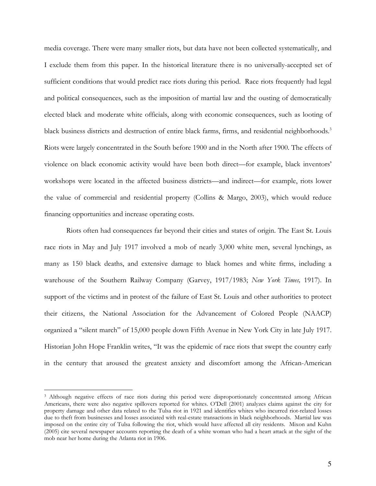media coverage. There were many smaller riots, but data have not been collected systematically, and I exclude them from this paper. In the historical literature there is no universally-accepted set of sufficient conditions that would predict race riots during this period. Race riots frequently had legal and political consequences, such as the imposition of martial law and the ousting of democratically elected black and moderate white officials, along with economic consequences, such as looting of black business districts and destruction of entire black farms, firms, and residential neighborhoods.<sup>3</sup> Riots were largely concentrated in the South before 1900 and in the North after 1900. The effects of violence on black economic activity would have been both direct—for example, black inventors' workshops were located in the affected business districts—and indirect—for example, riots lower the value of commercial and residential property (Collins & Margo, 2003), which would reduce financing opportunities and increase operating costs.

Riots often had consequences far beyond their cities and states of origin. The East St. Louis race riots in May and July 1917 involved a mob of nearly 3,000 white men, several lynchings, as many as 150 black deaths, and extensive damage to black homes and white firms, including a warehouse of the Southern Railway Company (Garvey, 1917/1983; *New York Times,* 1917). In support of the victims and in protest of the failure of East St. Louis and other authorities to protect their citizens, the National Association for the Advancement of Colored People (NAACP) organized a "silent march" of 15,000 people down Fifth Avenue in New York City in late July 1917. Historian John Hope Franklin writes, "It was the epidemic of race riots that swept the country early in the century that aroused the greatest anxiety and discomfort among the African-American

<sup>3</sup> Although negative effects of race riots during this period were disproportionately concentrated among African Americans, there were also negative spillovers reported for whites. O'Dell (2001) analyzes claims against the city for property damage and other data related to the Tulsa riot in 1921 and identifies whites who incurred riot-related losses due to theft from businesses and losses associated with real-estate transactions in black neighborhoods. Martial law was imposed on the entire city of Tulsa following the riot, which would have affected all city residents. Mixon and Kuhn (2005) cite several newspaper accounts reporting the death of a white woman who had a heart attack at the sight of the mob near her home during the Atlanta riot in 1906.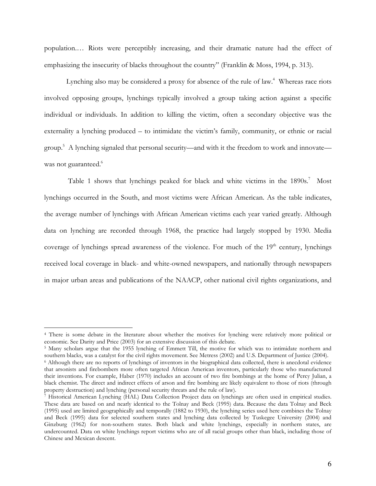population.… Riots were perceptibly increasing, and their dramatic nature had the effect of emphasizing the insecurity of blacks throughout the country" (Franklin & Moss, 1994, p. 313).

Lynching also may be considered a proxy for absence of the rule of law.<sup>4</sup> Whereas race riots involved opposing groups, lynchings typically involved a group taking action against a specific individual or individuals. In addition to killing the victim, often a secondary objective was the externality a lynching produced – to intimidate the victim's family, community, or ethnic or racial group.<sup>5</sup> A lynching signaled that personal security—and with it the freedom to work and innovate was not guaranteed.<sup>6</sup>

Table 1 shows that lynchings peaked for black and white victims in the 1890s.<sup>7</sup> Most lynchings occurred in the South, and most victims were African American. As the table indicates, the average number of lynchings with African American victims each year varied greatly. Although data on lynching are recorded through 1968, the practice had largely stopped by 1930. Media coverage of lynchings spread awareness of the violence. For much of the  $19<sup>th</sup>$  century, lynchings received local coverage in black- and white-owned newspapers, and nationally through newspapers in major urban areas and publications of the NAACP, other national civil rights organizations, and

-

<sup>4</sup> There is some debate in the literature about whether the motives for lynching were relatively more political or economic. See Darity and Price (2003) for an extensive discussion of this debate.

<sup>&</sup>lt;sup>5</sup> Many scholars argue that the 1955 lynching of Emmett Till, the motive for which was to intimidate northern and southern blacks, was a catalyst for the civil rights movement. See Metress (2002) and U.S. Department of Justice (2004).

<sup>6</sup> Although there are no reports of lynchings of inventors in the biographical data collected, there is anecdotal evidence that arsonists and firebombers more often targeted African American inventors, particularly those who manufactured their inventions. For example, Haber (1970) includes an account of two fire bombings at the home of Percy Julian, a black chemist. The direct and indirect effects of arson and fire bombing are likely equivalent to those of riots (through property destruction) and lynching (personal security threats and the rule of law).

<sup>7</sup> Historical American Lynching (HAL) Data Collection Project data on lynchings are often used in empirical studies. These data are based on and nearly identical to the Tolnay and Beck (1995) data. Because the data Tolnay and Beck (1995) used are limited geographically and temporally (1882 to 1930), the lynching series used here combines the Tolnay and Beck (1995) data for selected southern states and lynching data collected by Tuskegee University (2004) and Ginzburg (1962) for non-southern states. Both black and white lynchings, especially in northern states, are undercounted. Data on white lynchings report victims who are of all racial groups other than black, including those of Chinese and Mexican descent.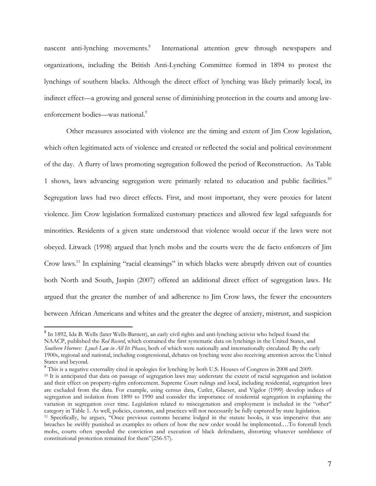nascent anti-lynching movements.<sup>8</sup> International attention grew through newspapers and organizations, including the British Anti-Lynching Committee formed in 1894 to protest the lynchings of southern blacks. Although the direct effect of lynching was likely primarily local, its indirect effect—a growing and general sense of diminishing protection in the courts and among lawenforcement bodies—was national.<sup>9</sup>

Other measures associated with violence are the timing and extent of Jim Crow legislation, which often legitimated acts of violence and created or reflected the social and political environment of the day. A flurry of laws promoting segregation followed the period of Reconstruction. As Table 1 shows, laws advancing segregation were primarily related to education and public facilities.<sup>10</sup> Segregation laws had two direct effects. First, and most important, they were proxies for latent violence. Jim Crow legislation formalized customary practices and allowed few legal safeguards for minorities. Residents of a given state understood that violence would occur if the laws were not obeyed. Litwack (1998) argued that lynch mobs and the courts were the de facto enforcers of Jim Crow laws.<sup>11</sup> In explaining "racial cleansings" in which blacks were abruptly driven out of counties both North and South, Jaspin (2007) offered an additional direct effect of segregation laws. He argued that the greater the number of and adherence to Jim Crow laws, the fewer the encounters between African Americans and whites and the greater the degree of anxiety, mistrust, and suspicion

<sup>9</sup> This is a negative externality cited in apologies for lynching by both U.S. Houses of Congress in 2008 and 2009.

 8 In 1892, Ida B. Wells (later Wells-Barnett), an early civil rights and anti-lynching activist who helped found the NAACP, published the *Red Record*, which contained the first systematic data on lynchings in the United States, and *Southern Horrors: Lynch Law in All Its Phases*, both of which were nationally and internationally circulated. By the early 1900s, regional and national, including congressional, debates on lynching were also receiving attention across the United States and beyond.

<sup>&</sup>lt;sup>10</sup> It is anticipated that data on passage of segregation laws may understate the extent of racial segregation and isolation and their effect on property-rights enforcement. Supreme Court rulings and local, including residential, segregation laws are excluded from the data. For example, using census data, Cutler, Glaeser, and Vigdor (1999) develop indices of segregation and isolation from 1890 to 1990 and consider the importance of residential segregation in explaining the variation in segregation over time. Legislation related to miscegenation and employment is included in the "other" category in Table 1. As well, policies, customs, and practices will not necessarily be fully captured by state legislation. <sup>11</sup> Specifically, he argues, "Once previous customs became lodged in the statute books, it was imperative that any breaches be swiftly punished as examples to others of how the new order would be implemented.…To forestall lynch mobs, courts often speeded the conviction and execution of black defendants, distorting whatever semblance of constitutional protection remained for them"(256-57).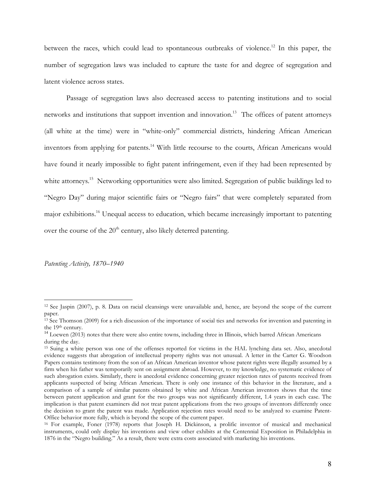between the races, which could lead to spontaneous outbreaks of violence.<sup>12</sup> In this paper, the number of segregation laws was included to capture the taste for and degree of segregation and latent violence across states.

Passage of segregation laws also decreased access to patenting institutions and to social networks and institutions that support invention and innovation.<sup>13</sup> The offices of patent attorneys (all white at the time) were in "white-only" commercial districts, hindering African American inventors from applying for patents.<sup>14</sup> With little recourse to the courts, African Americans would have found it nearly impossible to fight patent infringement, even if they had been represented by white attorneys.<sup>15</sup> Networking opportunities were also limited. Segregation of public buildings led to "Negro Day" during major scientific fairs or "Negro fairs" that were completely separated from major exhibitions.<sup>16</sup> Unequal access to education, which became increasingly important to patenting over the course of the  $20<sup>th</sup>$  century, also likely deterred patenting.

*Patenting Activity, 1870–1940* 

<sup>12</sup> See Jaspin (2007), p. 8. Data on racial cleansings were unavailable and, hence, are beyond the scope of the current paper.

<sup>&</sup>lt;sup>13</sup> See Thomson (2009) for a rich discussion of the importance of social ties and networks for invention and patenting in the 19<sup>th</sup> century.

<sup>&</sup>lt;sup>14</sup> Loewen (2013) notes that there were also entire towns, including three in Illinois, which barred African Americans during the day.

<sup>15</sup> Suing a white person was one of the offenses reported for victims in the HAL lynching data set. Also, anecdotal evidence suggests that abrogation of intellectual property rights was not unusual. A letter in the Carter G. Woodson Papers contains testimony from the son of an African American inventor whose patent rights were illegally assumed by a firm when his father was temporarily sent on assignment abroad. However, to my knowledge, no systematic evidence of such abrogation exists. Similarly, there is anecdotal evidence concerning greater rejection rates of patents received from applicants suspected of being African American. There is only one instance of this behavior in the literature, and a comparison of a sample of similar patents obtained by white and African American inventors shows that the time between patent application and grant for the two groups was not significantly different, 1.4 years in each case. The implication is that patent examiners did not treat patent applications from the two groups of inventors differently once the decision to grant the patent was made. Application rejection rates would need to be analyzed to examine Patent-Office behavior more fully, which is beyond the scope of the current paper.

<sup>16</sup> For example, Foner (1978) reports that Joseph H. Dickinson, a prolific inventor of musical and mechanical instruments, could only display his inventions and view other exhibits at the Centennial Exposition in Philadelphia in 1876 in the "Negro building." As a result, there were extra costs associated with marketing his inventions.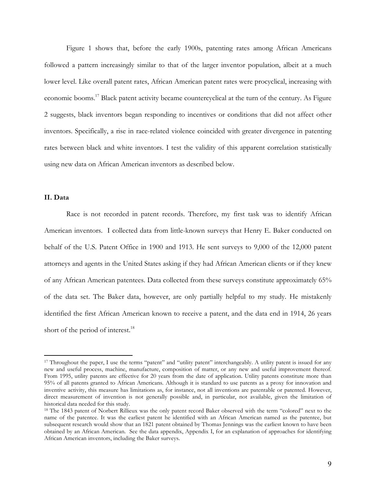Figure 1 shows that, before the early 1900s, patenting rates among African Americans followed a pattern increasingly similar to that of the larger inventor population, albeit at a much lower level. Like overall patent rates, African American patent rates were procyclical, increasing with economic booms.<sup>17</sup> Black patent activity became countercyclical at the turn of the century. As Figure 2 suggests, black inventors began responding to incentives or conditions that did not affect other inventors. Specifically, a rise in race-related violence coincided with greater divergence in patenting rates between black and white inventors. I test the validity of this apparent correlation statistically using new data on African American inventors as described below.

## **II. Data**

-

Race is not recorded in patent records. Therefore, my first task was to identify African American inventors. I collected data from little-known surveys that Henry E. Baker conducted on behalf of the U.S. Patent Office in 1900 and 1913. He sent surveys to 9,000 of the 12,000 patent attorneys and agents in the United States asking if they had African American clients or if they knew of any African American patentees. Data collected from these surveys constitute approximately 65% of the data set. The Baker data, however, are only partially helpful to my study. He mistakenly identified the first African American known to receive a patent, and the data end in 1914, 26 years short of the period of interest.<sup>18</sup>

<sup>17</sup> Throughout the paper, I use the terms "patent" and "utility patent" interchangeably. A utility patent is issued for any new and useful process, machine, manufacture, composition of matter, or any new and useful improvement thereof. From 1995, utility patents are effective for 20 years from the date of application. Utility patents constitute more than 95% of all patents granted to African Americans. Although it is standard to use patents as a proxy for innovation and inventive activity, this measure has limitations as, for instance, not all inventions are patentable or patented. However, direct measurement of invention is not generally possible and, in particular, not available, given the limitation of historical data needed for this study.

<sup>&</sup>lt;sup>18</sup> The 1843 patent of Norbert Rillieux was the only patent record Baker observed with the term "colored" next to the name of the patentee. It was the earliest patent he identified with an African American named as the patentee, but subsequent research would show that an 1821 patent obtained by Thomas Jennings was the earliest known to have been obtained by an African American. See the data appendix, Appendix I, for an explanation of approaches for identifying African American inventors, including the Baker surveys.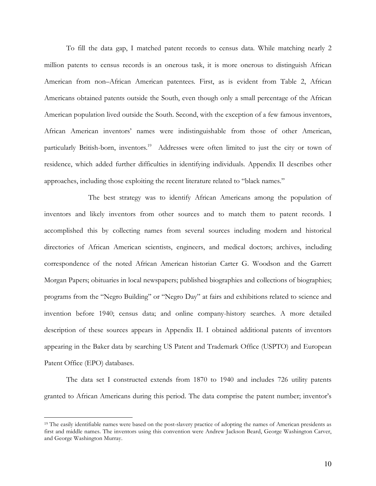To fill the data gap, I matched patent records to census data. While matching nearly 2 million patents to census records is an onerous task, it is more onerous to distinguish African American from non–African American patentees. First, as is evident from Table 2, African Americans obtained patents outside the South, even though only a small percentage of the African American population lived outside the South. Second, with the exception of a few famous inventors, African American inventors' names were indistinguishable from those of other American, particularly British-born, inventors.<sup>19</sup> Addresses were often limited to just the city or town of residence, which added further difficulties in identifying individuals. Appendix II describes other approaches, including those exploiting the recent literature related to "black names."

 The best strategy was to identify African Americans among the population of inventors and likely inventors from other sources and to match them to patent records. I accomplished this by collecting names from several sources including modern and historical directories of African American scientists, engineers, and medical doctors; archives, including correspondence of the noted African American historian Carter G. Woodson and the Garrett Morgan Papers; obituaries in local newspapers; published biographies and collections of biographies; programs from the "Negro Building" or "Negro Day" at fairs and exhibitions related to science and invention before 1940; census data; and online company-history searches. A more detailed description of these sources appears in Appendix II. I obtained additional patents of inventors appearing in the Baker data by searching US Patent and Trademark Office (USPTO) and European Patent Office (EPO) databases.

The data set I constructed extends from 1870 to 1940 and includes 726 utility patents granted to African Americans during this period. The data comprise the patent number; inventor's

<sup>&</sup>lt;sup>19</sup> The easily identifiable names were based on the post-slavery practice of adopting the names of American presidents as first and middle names. The inventors using this convention were Andrew Jackson Beard, George Washington Carver, and George Washington Murray.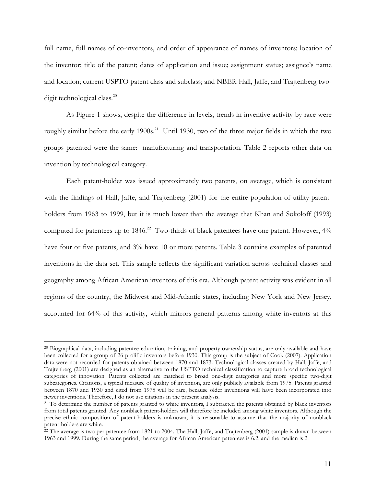full name, full names of co-inventors, and order of appearance of names of inventors; location of the inventor; title of the patent; dates of application and issue; assignment status; assignee's name and location; current USPTO patent class and subclass; and NBER-Hall, Jaffe, and Trajtenberg twodigit technological class.<sup>20</sup>

As Figure 1 shows, despite the difference in levels, trends in inventive activity by race were roughly similar before the early 1900s.<sup>21</sup> Until 1930, two of the three major fields in which the two groups patented were the same: manufacturing and transportation. Table 2 reports other data on invention by technological category.

Each patent-holder was issued approximately two patents, on average, which is consistent with the findings of Hall, Jaffe, and Trajtenberg (2001) for the entire population of utility-patentholders from 1963 to 1999, but it is much lower than the average that Khan and Sokoloff (1993) computed for patentees up to 1846.<sup>22</sup> Two-thirds of black patentees have one patent. However, 4% have four or five patents, and 3% have 10 or more patents. Table 3 contains examples of patented inventions in the data set. This sample reflects the significant variation across technical classes and geography among African American inventors of this era. Although patent activity was evident in all regions of the country, the Midwest and Mid-Atlantic states, including New York and New Jersey, accounted for 64% of this activity, which mirrors general patterns among white inventors at this

<sup>&</sup>lt;sup>20</sup> Biographical data, including patentee education, training, and property-ownership status, are only available and have been collected for a group of 26 prolific inventors before 1930. This group is the subject of Cook (2007). Application data were not recorded for patents obtained between 1870 and 1873. Technological classes created by Hall, Jaffe, and Trajtenberg (2001) are designed as an alternative to the USPTO technical classification to capture broad technological categories of innovation. Patents collected are matched to broad one-digit categories and more specific two-digit subcategories. Citations, a typical measure of quality of invention, are only publicly available from 1975. Patents granted between 1870 and 1930 and cited from 1975 will be rare, because older inventions will have been incorporated into newer inventions. Therefore, I do not use citations in the present analysis.

<sup>&</sup>lt;sup>21</sup> To determine the number of patents granted to white inventors, I subtracted the patents obtained by black inventors from total patents granted. Any nonblack patent-holders will therefore be included among white inventors. Although the precise ethnic composition of patent-holders is unknown, it is reasonable to assume that the majority of nonblack patent-holders are white.

<sup>&</sup>lt;sup>22</sup> The average is two per patentee from 1821 to 2004. The Hall, Jaffe, and Trajtenberg (2001) sample is drawn between 1963 and 1999. During the same period, the average for African American patentees is 6.2, and the median is 2.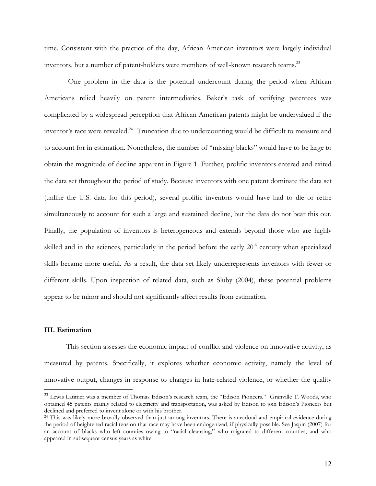time. Consistent with the practice of the day, African American inventors were largely individual inventors, but a number of patent-holders were members of well-known research teams. $^{23}$ 

 One problem in the data is the potential undercount during the period when African Americans relied heavily on patent intermediaries. Baker's task of verifying patentees was complicated by a widespread perception that African American patents might be undervalued if the inventor's race were revealed.<sup>24</sup> Truncation due to undercounting would be difficult to measure and to account for in estimation. Nonetheless, the number of "missing blacks" would have to be large to obtain the magnitude of decline apparent in Figure 1. Further, prolific inventors entered and exited the data set throughout the period of study. Because inventors with one patent dominate the data set (unlike the U.S. data for this period), several prolific inventors would have had to die or retire simultaneously to account for such a large and sustained decline, but the data do not bear this out. Finally, the population of inventors is heterogeneous and extends beyond those who are highly skilled and in the sciences, particularly in the period before the early  $20<sup>th</sup>$  century when specialized skills became more useful. As a result, the data set likely underrepresents inventors with fewer or different skills. Upon inspection of related data, such as Sluby (2004), these potential problems appear to be minor and should not significantly affect results from estimation.

## **III. Estimation**

<u>.</u>

This section assesses the economic impact of conflict and violence on innovative activity, as measured by patents. Specifically, it explores whether economic activity, namely the level of innovative output, changes in response to changes in hate-related violence, or whether the quality

<sup>&</sup>lt;sup>23</sup> Lewis Latimer was a member of Thomas Edison's research team, the "Edison Pioneers." Granville T. Woods, who obtained 45 patents mainly related to electricity and transportation, was asked by Edison to join Edison's Pioneers but declined and preferred to invent alone or with his brother.

<sup>&</sup>lt;sup>24</sup> This was likely more broadly observed than just among inventors. There is anecdotal and empirical evidence during the period of heightened racial tension that race may have been endogenized, if physically possible. See Jaspin (2007) for an account of blacks who left counties owing to "racial cleansing," who migrated to different counties, and who appeared in subsequent census years as white.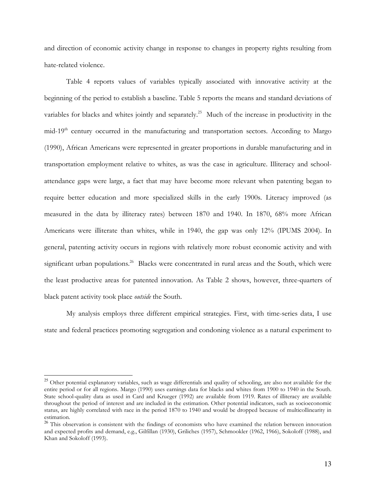and direction of economic activity change in response to changes in property rights resulting from hate-related violence.

Table 4 reports values of variables typically associated with innovative activity at the beginning of the period to establish a baseline. Table 5 reports the means and standard deviations of variables for blacks and whites jointly and separately.<sup>25</sup> Much of the increase in productivity in the mid-19<sup>th</sup> century occurred in the manufacturing and transportation sectors. According to Margo (1990), African Americans were represented in greater proportions in durable manufacturing and in transportation employment relative to whites, as was the case in agriculture. Illiteracy and schoolattendance gaps were large, a fact that may have become more relevant when patenting began to require better education and more specialized skills in the early 1900s. Literacy improved (as measured in the data by illiteracy rates) between 1870 and 1940. In 1870, 68% more African Americans were illiterate than whites, while in 1940, the gap was only 12% (IPUMS 2004). In general, patenting activity occurs in regions with relatively more robust economic activity and with significant urban populations.<sup>26</sup> Blacks were concentrated in rural areas and the South, which were the least productive areas for patented innovation. As Table 2 shows, however, three-quarters of black patent activity took place *outside* the South.

My analysis employs three different empirical strategies. First, with time-series data, I use state and federal practices promoting segregation and condoning violence as a natural experiment to

<sup>&</sup>lt;sup>25</sup> Other potential explanatory variables, such as wage differentials and quality of schooling, are also not available for the entire period or for all regions. Margo (1990) uses earnings data for blacks and whites from 1900 to 1940 in the South. State school-quality data as used in Card and Krueger (1992) are available from 1919. Rates of illiteracy are available throughout the period of interest and are included in the estimation. Other potential indicators, such as socioeconomic status, are highly correlated with race in the period 1870 to 1940 and would be dropped because of multicollinearity in estimation.

<sup>&</sup>lt;sup>26</sup> This observation is consistent with the findings of economists who have examined the relation between innovation and expected profits and demand, e.g., Gilfillan (1930), Griliches (1957), Schmookler (1962, 1966), Sokoloff (1988), and Khan and Sokoloff (1993).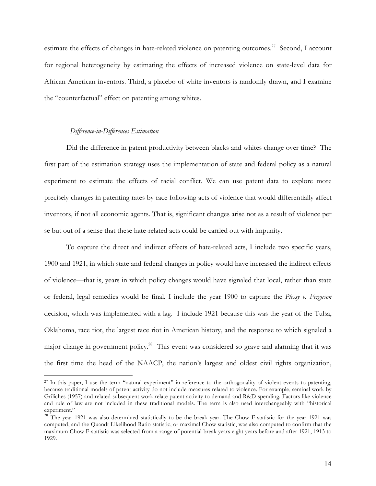estimate the effects of changes in hate-related violence on patenting outcomes.<sup>27</sup> Second, I account for regional heterogeneity by estimating the effects of increased violence on state-level data for African American inventors. Third, a placebo of white inventors is randomly drawn, and I examine the "counterfactual" effect on patenting among whites.

## *Difference-in-Differences Estimation*

-

Did the difference in patent productivity between blacks and whites change over time? The first part of the estimation strategy uses the implementation of state and federal policy as a natural experiment to estimate the effects of racial conflict. We can use patent data to explore more precisely changes in patenting rates by race following acts of violence that would differentially affect inventors, if not all economic agents. That is, significant changes arise not as a result of violence per se but out of a sense that these hate-related acts could be carried out with impunity.

To capture the direct and indirect effects of hate-related acts, I include two specific years, 1900 and 1921, in which state and federal changes in policy would have increased the indirect effects of violence—that is, years in which policy changes would have signaled that local, rather than state or federal, legal remedies would be final. I include the year 1900 to capture the *Plessy v. Ferguson* decision, which was implemented with a lag. I include 1921 because this was the year of the Tulsa, Oklahoma, race riot, the largest race riot in American history, and the response to which signaled a major change in government policy.<sup>28</sup> This event was considered so grave and alarming that it was the first time the head of the NAACP, the nation's largest and oldest civil rights organization,

<sup>&</sup>lt;sup>27</sup> In this paper, I use the term "natural experiment" in reference to the orthogonality of violent events to patenting, because traditional models of patent activity do not include measures related to violence. For example, seminal work by Griliches (1957) and related subsequent work relate patent activity to demand and R&D spending. Factors like violence and rule of law are not included in these traditional models. The term is also used interchangeably with "historical experiment."

<sup>&</sup>lt;sup>28</sup> The year 1921 was also determined statistically to be the break year. The Chow F-statistic for the year 1921 was computed, and the Quandt Likelihood Ratio statistic, or maximal Chow statistic, was also computed to confirm that the maximum Chow F-statistic was selected from a range of potential break years eight years before and after 1921, 1913 to 1929.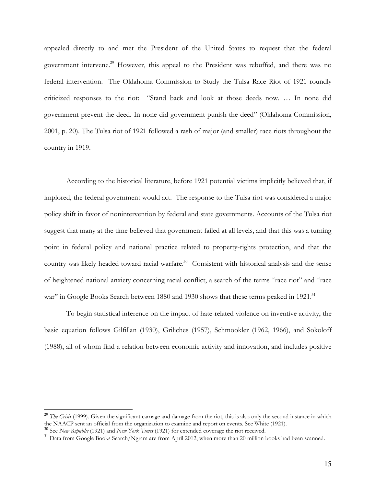appealed directly to and met the President of the United States to request that the federal government intervene.<sup>29</sup> However, this appeal to the President was rebuffed, and there was no federal intervention. The Oklahoma Commission to Study the Tulsa Race Riot of 1921 roundly criticized responses to the riot: "Stand back and look at those deeds now. … In none did government prevent the deed. In none did government punish the deed" (Oklahoma Commission, 2001, p. 20). The Tulsa riot of 1921 followed a rash of major (and smaller) race riots throughout the country in 1919.

According to the historical literature, before 1921 potential victims implicitly believed that, if implored, the federal government would act. The response to the Tulsa riot was considered a major policy shift in favor of nonintervention by federal and state governments. Accounts of the Tulsa riot suggest that many at the time believed that government failed at all levels, and that this was a turning point in federal policy and national practice related to property-rights protection, and that the country was likely headed toward racial warfare.<sup>30</sup> Consistent with historical analysis and the sense of heightened national anxiety concerning racial conflict, a search of the terms "race riot" and "race war" in Google Books Search between 1880 and 1930 shows that these terms peaked in 1921.<sup>31</sup>

To begin statistical inference on the impact of hate-related violence on inventive activity, the basic equation follows Gilfillan (1930), Griliches (1957), Schmookler (1962, 1966), and Sokoloff (1988), all of whom find a relation between economic activity and innovation, and includes positive

<sup>&</sup>lt;sup>29</sup> *The Crisis* (1999). Given the significant carnage and damage from the riot, this is also only the second instance in which the NAACP sent an official from the organization to examine and report on events. See White (1921).

<sup>30</sup> See *New Republic* (1921) and *New York Times* (1921) for extended coverage the riot received.

<sup>&</sup>lt;sup>31</sup> Data from Google Books Search/Ngram are from April 2012, when more than 20 million books had been scanned.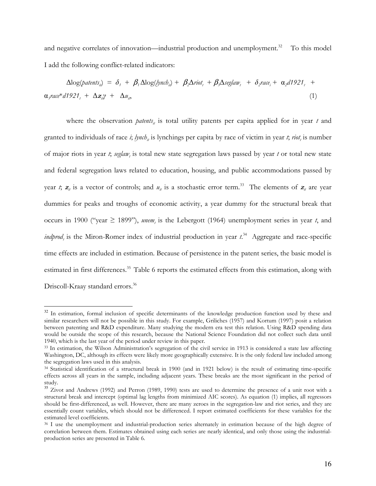and negative correlates of innovation—industrial production and unemployment. $32$  To this model I add the following conflict-related indicators:

 $\Delta log(\phi_{\text{atents}_{i}}) = \delta_{1} + \beta_{1} \Delta log(\phi_{\text{in}} b_{i}) + \beta_{2} \Delta \text{riot}_{t} + \beta_{3} \Delta \text{seglaw}_{t} + \delta_{2} \text{rac}_{t} + \alpha_{2} d1921_{t} +$  $\alpha_3$ race<sup>\*</sup>d1921<sub>t</sub> +  $\Delta z_i \gamma$  +  $\Delta u_i$ , (1)

where the observation *patents<sub>it</sub>* is total utility patents per capita applied for in year *t* and granted to individuals of race *i*; *lynch*<sub>*it*</sub> is lynchings per capita by race of victim in year *t*; *riot*<sub>t</sub> is number of major riots in year *t*; *seglaw<sup>t</sup>* is total new state segregation laws passed by year *t* or total new state and federal segregation laws related to education, housing, and public accommodations passed by year *t*;  $z_i$  is a vector of controls; and  $u_i$  is a stochastic error term.<sup>33</sup> The elements of  $z_i$  are year dummies for peaks and troughs of economic activity, a year dummy for the structural break that occurs in 1900 ("year  $\geq$  1899"), *unem*<sub>*t*</sub> is the Lebergott (1964) unemployment series in year *t*, and *indprod<sub>t</sub>* is the Miron-Romer index of industrial production in year  $t^{34}$  Aggregate and race-specific time effects are included in estimation. Because of persistence in the patent series, the basic model is estimated in first differences.<sup>35</sup> Table 6 reports the estimated effects from this estimation, along with Driscoll-Kraay standard errors.<sup>36</sup>

 $32$  In estimation, formal inclusion of specific determinants of the knowledge production function used by these and similar researchers will not be possible in this study. For example, Griliches (1957) and Kortum (1997) posit a relation between patenting and R&D expenditure. Many studying the modern era test this relation. Using R&D spending data would be outside the scope of this research, because the National Science Foundation did not collect such data until 1940, which is the last year of the period under review in this paper.

<sup>33</sup> In estimation, the Wilson Administration's segregation of the civil service in 1913 is considered a state law affecting Washington, DC, although its effects were likely more geographically extensive. It is the only federal law included among the segregation laws used in this analysis.

<sup>34</sup> Statistical identification of a structural break in 1900 (and in 1921 below) is the result of estimating time-specific effects across all years in the sample, including adjacent years. These breaks are the most significant in the period of study.

<sup>&</sup>lt;sup>35</sup> Zivot and Andrews (1992) and Perron (1989, 1990) tests are used to determine the presence of a unit root with a structural break and intercept (optimal lag lengths from minimized AIC scores). As equation (1) implies, all regressors should be first-differenced, as well. However, there are many zeroes in the segregation-law and riot series, and they are essentially count variables, which should not be differenced. I report estimated coefficients for these variables for the estimated level coefficients.

<sup>&</sup>lt;sup>36</sup> I use the unemployment and industrial-production series alternately in estimation because of the high degree of correlation between them. Estimates obtained using each series are nearly identical, and only those using the industrialproduction series are presented in Table 6.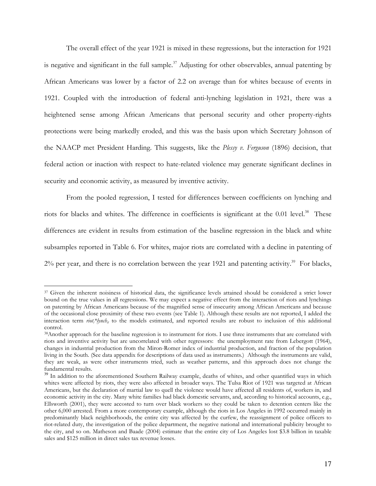The overall effect of the year 1921 is mixed in these regressions, but the interaction for 1921 is negative and significant in the full sample.<sup>37</sup> Adjusting for other observables, annual patenting by African Americans was lower by a factor of 2.2 on average than for whites because of events in 1921. Coupled with the introduction of federal anti-lynching legislation in 1921, there was a heightened sense among African Americans that personal security and other property-rights protections were being markedly eroded, and this was the basis upon which Secretary Johnson of the NAACP met President Harding. This suggests, like the *Plessy v. Ferguson* (1896) decision, that federal action or inaction with respect to hate-related violence may generate significant declines in security and economic activity, as measured by inventive activity.

From the pooled regression, I tested for differences between coefficients on lynching and riots for blacks and whites. The difference in coefficients is significant at the 0.01 level.<sup>38</sup> These differences are evident in results from estimation of the baseline regression in the black and white subsamples reported in Table 6. For whites, major riots are correlated with a decline in patenting of  $2\%$  per year, and there is no correlation between the year 1921 and patenting activity.<sup>39</sup> For blacks,

<sup>&</sup>lt;sup>37</sup> Given the inherent noisiness of historical data, the significance levels attained should be considered a strict lower bound on the true values in all regressions. We may expect a negative effect from the interaction of riots and lynchings on patenting by African Americans because of the magnified sense of insecurity among African Americans and because of the occasional close proximity of these two events (see Table 1). Although these results are not reported, I added the interaction term *riot<sub>t</sub>*<sup>\*</sup>lynch<sub>*it*</sub> to the models estimated, and reported results are robust to inclusion of this additional control.

<sup>38</sup>Another approach for the baseline regression is to instrument for riots. I use three instruments that are correlated with riots and inventive activity but are uncorrelated with other regressors: the unemployment rate from Lebergott (1964), changes in industrial production from the Miron-Romer index of industrial production, and fraction of the population living in the South. (See data appendix for descriptions of data used as instruments.) Although the instruments are valid, they are weak, as were other instruments tried, such as weather patterns, and this approach does not change the fundamental results.

<sup>&</sup>lt;sup>39</sup> In addition to the aforementioned Southern Railway example, deaths of whites, and other quantified ways in which whites were affected by riots, they were also affected in broader ways. The Tulsa Riot of 1921 was targeted at African Americans, but the declaration of martial law to quell the violence would have affected all residents of, workers in, and economic activity in the city. Many white families had black domestic servants, and, according to historical accounts, e.g., Ellsworth (2001), they were accosted to turn over black workers so they could be taken to detention centers like the other 6,000 arrested. From a more contemporary example, although the riots in Los Angeles in 1992 occurred mainly in predominantly black neighborhoods, the entire city was affected by the curfew, the reassignment of police officers to riot-related duty, the investigation of the police department, the negative national and international publicity brought to the city, and so on. Matheson and Baade (2004) estimate that the entire city of Los Angeles lost \$3.8 billion in taxable sales and \$125 million in direct sales tax revenue losses.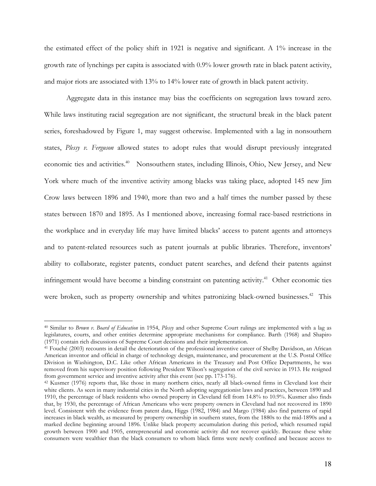the estimated effect of the policy shift in 1921 is negative and significant. A 1% increase in the growth rate of lynchings per capita is associated with 0.9% lower growth rate in black patent activity, and major riots are associated with 13% to 14% lower rate of growth in black patent activity.

Aggregate data in this instance may bias the coefficients on segregation laws toward zero. While laws instituting racial segregation are not significant, the structural break in the black patent series, foreshadowed by Figure 1, may suggest otherwise. Implemented with a lag in nonsouthern states, *Plessy v. Ferguson* allowed states to adopt rules that would disrupt previously integrated economic ties and activities.<sup>40</sup> Nonsouthern states, including Illinois, Ohio, New Jersey, and New York where much of the inventive activity among blacks was taking place, adopted 145 new Jim Crow laws between 1896 and 1940, more than two and a half times the number passed by these states between 1870 and 1895. As I mentioned above, increasing formal race-based restrictions in the workplace and in everyday life may have limited blacks' access to patent agents and attorneys and to patent-related resources such as patent journals at public libraries. Therefore, inventors' ability to collaborate, register patents, conduct patent searches, and defend their patents against infringement would have become a binding constraint on patenting activity.<sup>41</sup> Other economic ties were broken, such as property ownership and whites patronizing black-owned businesses.<sup>42</sup> This

-

<sup>40</sup> Similar to *Brown v. Board of Education* in 1954, *Plessy* and other Supreme Court rulings are implemented with a lag as legislatures, courts, and other entities determine appropriate mechanisms for compliance. Barth (1968) and Shapiro (1971) contain rich discussions of Supreme Court decisions and their implementation.

<sup>41</sup> Fouché (2003) recounts in detail the deterioration of the professional inventive career of Shelby Davidson, an African American inventor and official in charge of technology design, maintenance, and procurement at the U.S. Postal Office Division in Washington, D.C. Like other African Americans in the Treasury and Post Office Departments, he was removed from his supervisory position following President Wilson's segregation of the civil service in 1913. He resigned from government service and inventive activity after this event (see pp. 173-176).

<sup>42</sup> Kusmer (1976) reports that, like those in many northern cities, nearly all black-owned firms in Cleveland lost their white clients. As seen in many industrial cities in the North adopting segregationist laws and practices, between 1890 and 1910, the percentage of black residents who owned property in Cleveland fell from 14.8% to 10.9%. Kusmer also finds that, by 1930, the percentage of African Americans who were property owners in Cleveland had not recovered its 1890 level. Consistent with the evidence from patent data, Higgs (1982, 1984) and Margo (1984) also find patterns of rapid increases in black wealth, as measured by property ownership in southern states, from the 1880s to the mid-1890s and a marked decline beginning around 1896. Unlike black property accumulation during this period, which resumed rapid growth between 1900 and 1905, entrepreneurial and economic activity did not recover quickly. Because these white consumers were wealthier than the black consumers to whom black firms were newly confined and because access to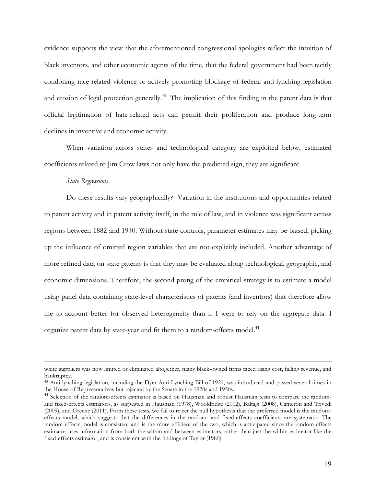evidence supports the view that the aforementioned congressional apologies reflect the intuition of black inventors, and other economic agents of the time, that the federal government had been tacitly condoning race-related violence or actively promoting blockage of federal anti-lynching legislation and erosion of legal protection generally.<sup>43</sup> The implication of this finding in the patent data is that official legitimation of hate-related acts can permit their proliferation and produce long-term declines in inventive and economic activity.

When variation across states and technological category are exploited below, estimated coefficients related to Jim Crow laws not only have the predicted sign, they are significant.

#### *State Regressions*

<u>.</u>

Do these results vary geographically? Variation in the institutions and opportunities related to patent activity and in patent activity itself, in the rule of law, and in violence was significant across regions between 1882 and 1940. Without state controls, parameter estimates may be biased, picking up the influence of omitted region variables that are not explicitly included. Another advantage of more refined data on state patents is that they may be evaluated along technological, geographic, and economic dimensions. Therefore, the second prong of the empirical strategy is to estimate a model using panel data containing state-level characteristics of patents (and inventors) that therefore allow me to account better for observed heterogeneity than if I were to rely on the aggregate data. I organize patent data by state-year and fit them to a random-effects model.<sup>44</sup>

white suppliers was now limited or eliminated altogether, many black-owned firms faced rising cost, falling revenue, and bankruptcy.

<sup>43</sup> Anti-lynching legislation, including the Dyer Anti-Lynching Bill of 1921, was introduced and passed several times in the House of Representatives but rejected by the Senate in the 1920s and 1930s.

<sup>&</sup>lt;sup>44</sup> Selection of the random-effects estimator is based on Hausman and robust Hausman tests to compare the randomand fixed-effects estimators, as suggested in Hausman (1978), Wooldridge (2002), Baltagi (2008), Cameron and Trivedi (2009), and Greene (2011). From these tests, we fail to reject the null hypothesis that the preferred model is the randomeffects model, which suggests that the differences in the random- and fixed-effects coefficients are systematic. The random-effects model is consistent and is the more efficient of the two, which is anticipated since the random-effects estimator uses information from both the within and between estimators, rather than just the within estimator like the fixed-effects estimator, and is consistent with the findings of Taylor (1980).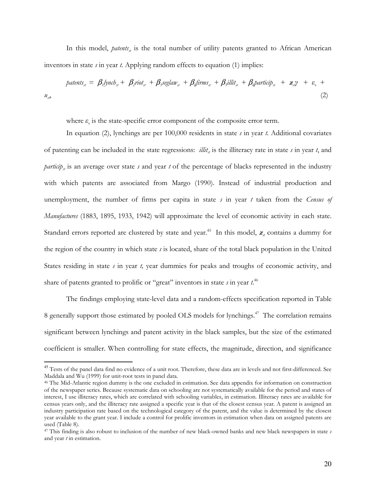In this model, *patents<sub>st</sub>* is the total number of utility patents granted to African American inventors in state *s* in year *t*. Applying random effects to equation (1) implies:

$$
patterns_{st} = \beta_1 y_{nchst} + \beta_2 riot_{st} + \beta_3 seglaw_{st} + \beta_4 firms_{st} + \beta_5 illit_{st} + \beta_4 particip_{st} + z_{st} + \varepsilon_s + u_{st}
$$
\n
$$
(2)
$$

where  $\varepsilon$ <sub>s</sub> is the state-specific error component of the composite error term.

In equation (2), lynchings are per 100,000 residents in state *s* in year *t.* Additional covariates of patenting can be included in the state regressions:  $\frac{d}{dt}$  is the illiteracy rate in state *s* in year *t*, and *particip<sub>st</sub>* is an average over state *s* and year *t* of the percentage of blacks represented in the industry with which patents are associated from Margo (1990). Instead of industrial production and unemployment, the number of firms per capita in state *s* in year *t* taken from the *Census of Manufactures* (1883, 1895, 1933, 1942) will approximate the level of economic activity in each state. Standard errors reported are clustered by state and year.<sup>45</sup> In this model,  $z_a$  contains a dummy for the region of the country in which state *s* is located, share of the total black population in the United States residing in state *s* in year *t,* year dummies for peaks and troughs of economic activity, and share of patents granted to prolific or "great" inventors in state *s* in year *t*. 46

The findings employing state-level data and a random-effects specification reported in Table 8 generally support those estimated by pooled OLS models for lynchings.<sup>47</sup> The correlation remains significant between lynchings and patent activity in the black samples, but the size of the estimated coefficient is smaller. When controlling for state effects, the magnitude, direction, and significance

<sup>&</sup>lt;sup>45</sup> Tests of the panel data find no evidence of a unit root. Therefore, these data are in levels and not first-differenced. See Maddala and Wu (1999) for unit-root tests in panel data.

<sup>46</sup> The Mid-Atlantic region dummy is the one excluded in estimation. See data appendix for information on construction of the newspaper series. Because systematic data on schooling are not systematically available for the period and states of interest, I use illiteracy rates, which are correlated with schooling variables, in estimation. Illiteracy rates are available for census years only, and the illiteracy rate assigned a specific year is that of the closest census year. A patent is assigned an industry participation rate based on the technological category of the patent, and the value is determined by the closest year available to the grant year. I include a control for prolific inventors in estimation when data on assigned patents are used (Table 8).

<sup>47</sup> This finding is also robust to inclusion of the number of new black-owned banks and new black newspapers in state *s* and year *t* in estimation.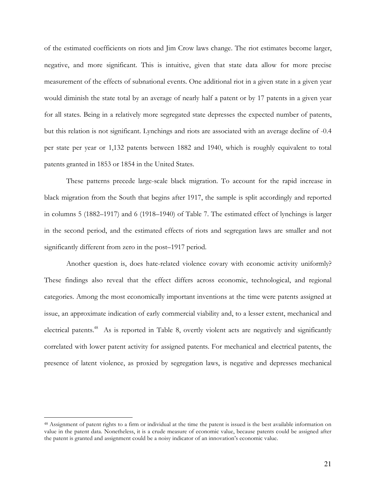of the estimated coefficients on riots and Jim Crow laws change. The riot estimates become larger, negative, and more significant. This is intuitive, given that state data allow for more precise measurement of the effects of subnational events. One additional riot in a given state in a given year would diminish the state total by an average of nearly half a patent or by 17 patents in a given year for all states. Being in a relatively more segregated state depresses the expected number of patents, but this relation is not significant. Lynchings and riots are associated with an average decline of -0.4 per state per year or 1,132 patents between 1882 and 1940, which is roughly equivalent to total patents granted in 1853 or 1854 in the United States.

These patterns precede large-scale black migration. To account for the rapid increase in black migration from the South that begins after 1917, the sample is split accordingly and reported in columns 5 (1882–1917) and 6 (1918–1940) of Table 7. The estimated effect of lynchings is larger in the second period, and the estimated effects of riots and segregation laws are smaller and not significantly different from zero in the post–1917 period.

Another question is, does hate-related violence covary with economic activity uniformly? These findings also reveal that the effect differs across economic, technological, and regional categories. Among the most economically important inventions at the time were patents assigned at issue, an approximate indication of early commercial viability and, to a lesser extent, mechanical and electrical patents.<sup>48</sup> As is reported in Table 8, overtly violent acts are negatively and significantly correlated with lower patent activity for assigned patents. For mechanical and electrical patents, the presence of latent violence, as proxied by segregation laws, is negative and depresses mechanical

<sup>&</sup>lt;sup>48</sup> Assignment of patent rights to a firm or individual at the time the patent is issued is the best available information on value in the patent data. Nonetheless, it is a crude measure of economic value, because patents could be assigned after the patent is granted and assignment could be a noisy indicator of an innovation's economic value.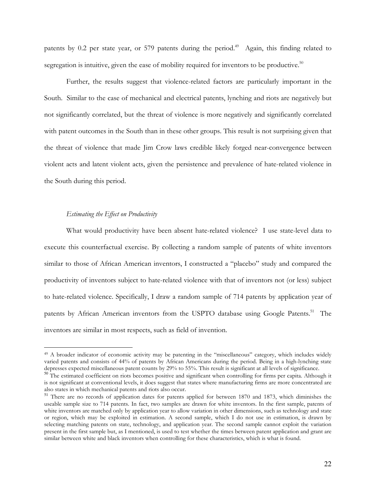patents by 0.2 per state year, or 579 patents during the period.<sup>49</sup> Again, this finding related to segregation is intuitive, given the ease of mobility required for inventors to be productive. $50$ 

Further, the results suggest that violence-related factors are particularly important in the South. Similar to the case of mechanical and electrical patents, lynching and riots are negatively but not significantly correlated, but the threat of violence is more negatively and significantly correlated with patent outcomes in the South than in these other groups. This result is not surprising given that the threat of violence that made Jim Crow laws credible likely forged near-convergence between violent acts and latent violent acts, given the persistence and prevalence of hate-related violence in the South during this period.

## *Estimating the Effect on Productivity*

<u>.</u>

What would productivity have been absent hate-related violence? I use state-level data to execute this counterfactual exercise. By collecting a random sample of patents of white inventors similar to those of African American inventors, I constructed a "placebo" study and compared the productivity of inventors subject to hate-related violence with that of inventors not (or less) subject to hate-related violence. Specifically, I draw a random sample of 714 patents by application year of patents by African American inventors from the USPTO database using Google Patents.<sup>51</sup> The inventors are similar in most respects, such as field of invention.

<sup>49</sup> A broader indicator of economic activity may be patenting in the "miscellaneous" category, which includes widely varied patents and consists of 44% of patents by African Americans during the period. Being in a high-lynching state depresses expected miscellaneous patent counts by 29% to 55%. This result is significant at all levels of significance.

 $50$ . The estimated coefficient on riots becomes positive and significant when controlling for firms per capita. Although it is not significant at conventional levels, it does suggest that states where manufacturing firms are more concentrated are also states in which mechanical patents and riots also occur.

<sup>51</sup> There are no records of application dates for patents applied for between 1870 and 1873, which diminishes the useable sample size to 714 patents. In fact, two samples are drawn for white inventors. In the first sample, patents of white inventors are matched only by application year to allow variation in other dimensions, such as technology and state or region, which may be exploited in estimation. A second sample, which I do not use in estimation, is drawn by selecting matching patents on state, technology, and application year. The second sample cannot exploit the variation present in the first sample but, as I mentioned, is used to test whether the times between patent application and grant are similar between white and black inventors when controlling for these characteristics, which is what is found.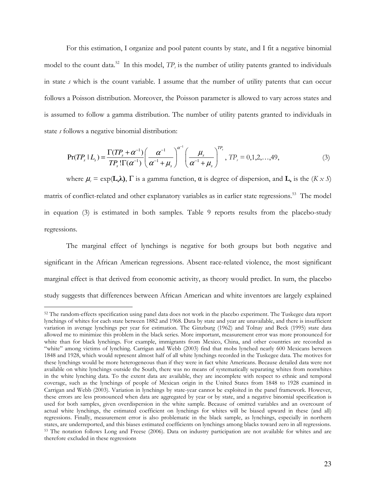For this estimation, I organize and pool patent counts by state, and I fit a negative binomial model to the count data.<sup>52</sup> In this model,  $TP<sub>s</sub>$  is the number of utility patents granted to individuals in state *s* which is the count variable. I assume that the number of utility patents that can occur follows a Poisson distribution. Moreover, the Poisson parameter is allowed to vary across states and is assumed to follow a gamma distribution. The number of utility patents granted to individuals in state *s* follows a negative binomial distribution:

$$
\Pr(TP_s \mid L_s) = \frac{\Gamma(TP_s + \alpha^{-1})}{TP_s \cdot \Gamma(\alpha^{-1})} \left(\frac{\alpha^{-1}}{\alpha^{-1} + \mu_s}\right)^{\alpha^{-1}} \left(\frac{\mu_s}{\alpha^{-1} + \mu_s}\right)^{TP_s}, \; TP_s = 0, 1, 2, \dots, 49, \tag{3}
$$

where  $\mu_s = \exp(L_s \lambda)$ ,  $\Gamma$  is a gamma function,  $\alpha$  is degree of dispersion, and  $\mathbf{L}_s$  is the  $(K \times S)$ matrix of conflict-related and other explanatory variables as in earlier state regressions.<sup>53</sup> The model in equation (3) is estimated in both samples. Table 9 reports results from the placebo-study regressions.

The marginal effect of lynchings is negative for both groups but both negative and significant in the African American regressions. Absent race-related violence, the most significant marginal effect is that derived from economic activity, as theory would predict. In sum, the placebo study suggests that differences between African American and white inventors are largely explained

<sup>&</sup>lt;sup>52</sup> The random-effects specification using panel data does not work in the placebo experiment. The Tuskegee data report lynchings of whites for each state between 1882 and 1968. Data by state and year are unavailable, and there is insufficient variation in average lynchings per year for estimation. The Ginzburg (1962) and Tolnay and Beck (1995) state data allowed me to minimize this problem in the black series. More important, measurement error was more pronounced for white than for black lynchings. For example, immigrants from Mexico, China, and other countries are recorded as "white" among victims of lynching. Carrigan and Webb (2003) find that mobs lynched nearly 600 Mexicans between 1848 and 1928, which would represent almost half of all white lynchings recorded in the Tuskegee data. The motives for these lynchings would be more heterogeneous than if they were in fact white Americans. Because detailed data were not available on white lynchings outside the South, there was no means of systematically separating whites from nonwhites in the white lynching data. To the extent data are available, they are incomplete with respect to ethnic and temporal coverage, such as the lynchings of people of Mexican origin in the United States from 1848 to 1928 examined in Carrigan and Webb (2003). Variation in lynchings by state-year cannot be exploited in the panel framework. However, these errors are less pronounced when data are aggregated by year or by state, and a negative binomial specification is used for both samples, given overdispersion in the white sample. Because of omitted variables and an overcount of actual white lynchings, the estimated coefficient on lynchings for whites will be biased upward in these (and all) regressions. Finally, measurement error is also problematic in the black sample, as lynchings, especially in northern states, are underreported, and this biases estimated coefficients on lynchings among blacks toward zero in all regressions. <sup>53</sup> The notation follows Long and Freese (2006). Data on industry participation are not available for whites and are therefore excluded in these regressions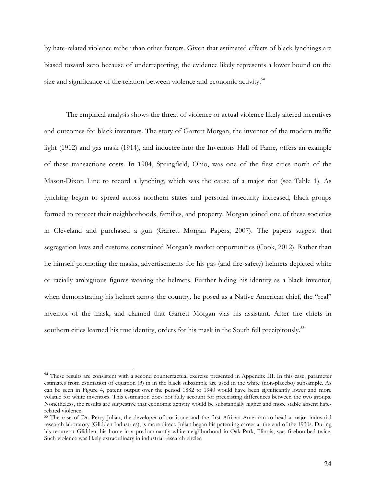by hate-related violence rather than other factors. Given that estimated effects of black lynchings are biased toward zero because of underreporting, the evidence likely represents a lower bound on the size and significance of the relation between violence and economic activity.<sup>54</sup>

The empirical analysis shows the threat of violence or actual violence likely altered incentives and outcomes for black inventors. The story of Garrett Morgan, the inventor of the modern traffic light (1912) and gas mask (1914), and inductee into the Inventors Hall of Fame, offers an example of these transactions costs. In 1904, Springfield, Ohio, was one of the first cities north of the Mason-Dixon Line to record a lynching, which was the cause of a major riot (see Table 1). As lynching began to spread across northern states and personal insecurity increased, black groups formed to protect their neighborhoods, families, and property. Morgan joined one of these societies in Cleveland and purchased a gun (Garrett Morgan Papers, 2007). The papers suggest that segregation laws and customs constrained Morgan's market opportunities (Cook, 2012). Rather than he himself promoting the masks, advertisements for his gas (and fire-safety) helmets depicted white or racially ambiguous figures wearing the helmets. Further hiding his identity as a black inventor, when demonstrating his helmet across the country, he posed as a Native American chief, the "real" inventor of the mask, and claimed that Garrett Morgan was his assistant. After fire chiefs in southern cities learned his true identity, orders for his mask in the South fell precipitously.<sup>55</sup>

<sup>&</sup>lt;sup>54</sup> These results are consistent with a second counterfactual exercise presented in Appendix III. In this case, parameter estimates from estimation of equation (3) in in the black subsample are used in the white (non-placebo) subsample. As can be seen in Figure 4, patent output over the period 1882 to 1940 would have been significantly lower and more volatile for white inventors. This estimation does not fully account for preexisting differences between the two groups. Nonetheless, the results are suggestive that economic activity would be substantially higher and more stable absent haterelated violence.

<sup>55</sup> The case of Dr. Percy Julian, the developer of cortisone and the first African American to head a major industrial research laboratory (Glidden Industries), is more direct. Julian began his patenting career at the end of the 1930s. During his tenure at Glidden, his home in a predominantly white neighborhood in Oak Park, Illinois, was firebombed twice. Such violence was likely extraordinary in industrial research circles.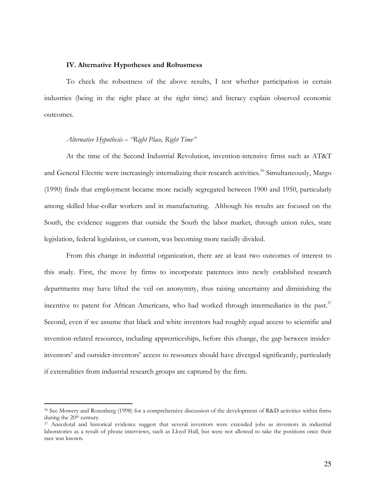#### **IV. Alternative Hypotheses and Robustness**

To check the robustness of the above results, I test whether participation in certain industries (being in the right place at the right time) and literacy explain observed economic outcomes.

#### *Alternative Hypothesis – "Right Place, Right Time"*

-

At the time of the Second Industrial Revolution, invention-intensive firms such as AT&T and General Electric were increasingly internalizing their research activities.<sup>56</sup> Simultaneously, Margo (1990) finds that employment became more racially segregated between 1900 and 1950, particularly among skilled blue-collar workers and in manufacturing. Although his results are focused on the South, the evidence suggests that outside the South the labor market, through union rules, state legislation, federal legislation, or custom, was becoming more racially divided.

From this change in industrial organization, there are at least two outcomes of interest to this study. First, the move by firms to incorporate patentees into newly established research departments may have lifted the veil on anonymity, thus raising uncertainty and diminishing the incentive to patent for African Americans, who had worked through intermediaries in the past.<sup>57</sup> Second, even if we assume that black and white inventors had roughly equal access to scientific and invention-related resources, including apprenticeships, before this change, the gap between insiderinventors' and outsider-inventors' access to resources should have diverged significantly, particularly if externalities from industrial research groups are captured by the firm.

<sup>56</sup> See Mowery and Rosenberg (1998) for a comprehensive discussion of the development of R&D activities within firms during the 20<sup>th</sup> century.

<sup>57</sup> Anecdotal and historical evidence suggest that several inventors were extended jobs as inventors in industrial laboratories as a result of phone interviews, such as Lloyd Hall, but were not allowed to take the positions once their race was known.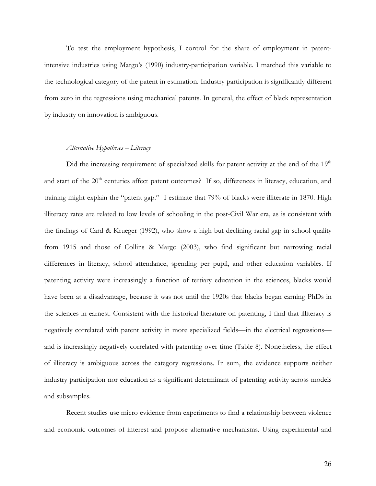To test the employment hypothesis, I control for the share of employment in patentintensive industries using Margo's (1990) industry-participation variable. I matched this variable to the technological category of the patent in estimation. Industry participation is significantly different from zero in the regressions using mechanical patents. In general, the effect of black representation by industry on innovation is ambiguous.

### *Alternative Hypotheses – Literacy*

Did the increasing requirement of specialized skills for patent activity at the end of the  $19<sup>th</sup>$ and start of the 20<sup>th</sup> centuries affect patent outcomes? If so, differences in literacy, education, and training might explain the "patent gap." I estimate that 79% of blacks were illiterate in 1870. High illiteracy rates are related to low levels of schooling in the post-Civil War era, as is consistent with the findings of Card & Krueger (1992), who show a high but declining racial gap in school quality from 1915 and those of Collins & Margo (2003), who find significant but narrowing racial differences in literacy, school attendance, spending per pupil, and other education variables. If patenting activity were increasingly a function of tertiary education in the sciences, blacks would have been at a disadvantage, because it was not until the 1920s that blacks began earning PhDs in the sciences in earnest. Consistent with the historical literature on patenting, I find that illiteracy is negatively correlated with patent activity in more specialized fields—in the electrical regressions and is increasingly negatively correlated with patenting over time (Table 8). Nonetheless, the effect of illiteracy is ambiguous across the category regressions. In sum, the evidence supports neither industry participation nor education as a significant determinant of patenting activity across models and subsamples.

Recent studies use micro evidence from experiments to find a relationship between violence and economic outcomes of interest and propose alternative mechanisms. Using experimental and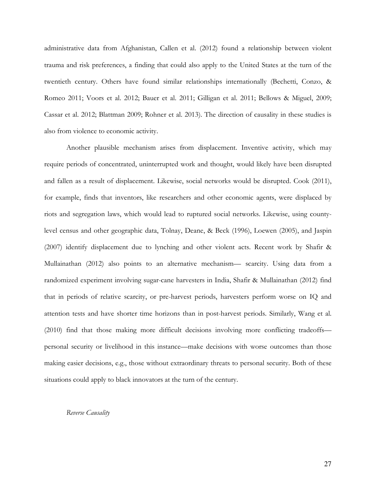administrative data from Afghanistan, Callen et al. (2012) found a relationship between violent trauma and risk preferences, a finding that could also apply to the United States at the turn of the twentieth century. Others have found similar relationships internationally (Bechetti, Conzo, & Romeo 2011; Voors et al. 2012; Bauer et al. 2011; Gilligan et al. 2011; Bellows & Miguel, 2009; Cassar et al. 2012; Blattman 2009; Rohner et al. 2013). The direction of causality in these studies is also from violence to economic activity.

Another plausible mechanism arises from displacement. Inventive activity, which may require periods of concentrated, uninterrupted work and thought, would likely have been disrupted and fallen as a result of displacement. Likewise, social networks would be disrupted. Cook (2011), for example, finds that inventors, like researchers and other economic agents, were displaced by riots and segregation laws, which would lead to ruptured social networks. Likewise, using countylevel census and other geographic data, Tolnay, Deane, & Beck (1996), Loewen (2005), and Jaspin (2007) identify displacement due to lynching and other violent acts. Recent work by Shafir & Mullainathan (2012) also points to an alternative mechanism— scarcity. Using data from a randomized experiment involving sugar-cane harvesters in India, Shafir & Mullainathan (2012) find that in periods of relative scarcity, or pre-harvest periods, harvesters perform worse on IQ and attention tests and have shorter time horizons than in post-harvest periods. Similarly, Wang et al. (2010) find that those making more difficult decisions involving more conflicting tradeoffs personal security or livelihood in this instance—make decisions with worse outcomes than those making easier decisions, e.g., those without extraordinary threats to personal security. Both of these situations could apply to black innovators at the turn of the century.

#### *Reverse Causality*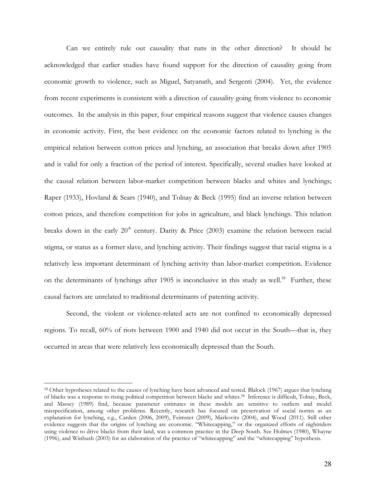Can we entirely rule out causality that runs in the other direction? It should be acknowledged that earlier studies have found support for the direction of causality going from economic growth to violence, such as Miguel, Satyanath, and Sergenti (2004). Yet, the evidence from recent experiments is consistent with a direction of causality going from violence to economic outcomes. In the analysis in this paper, four empirical reasons suggest that violence causes changes in economic activity. First, the best evidence on the economic factors related to lynching is the empirical relation between cotton prices and lynching, an association that breaks down after 1905 and is valid for only a fraction of the period of interest. Specifically, several studies have looked at the causal relation between labor-market competition between blacks and whites and lynchings; Raper (1933), Hovland & Sears (1940), and Tolnay & Beck (1995) find an inverse relation between cotton prices, and therefore competition for jobs in agriculture, and black lynchings. This relation breaks down in the early  $20<sup>th</sup>$  century. Darity & Price (2003) examine the relation between racial stigma, or status as a former slave, and lynching activity. Their findings suggest that racial stigma is a relatively less important determinant of lynching activity than labor-market competition. Evidence on the determinants of lynchings after 1905 is inconclusive in this study as well.<sup>58</sup> Further, these causal factors are unrelated to traditional determinants of patenting activity.

Second, the violent or violence-related acts are not confined to economically depressed regions. To recall, 60% of riots between 1900 and 1940 did not occur in the South—that is, they occurred in areas that were relatively less economically depressed than the South.

-

<sup>58</sup> Other hypotheses related to the causes of lynching have been advanced and tested. Blalock (1967) argues that lynching of blacks was a response to rising political competition between blacks and whites.58 Inference is difficult, Tolnay, Beck, and Massey (1989) find, because parameter estimates in these models are sensitive to outliers and model misspecification, among other problems. Recently, research has focused on preservation of social norms as an explanation for lynching, e.g., Carden (2006, 2009), Feimster (2009), Markovitz (2004), and Wood (2011). Still other evidence suggests that the origins of lynching are economic. "Whitecapping," or the organized efforts of nightriders using violence to drive blacks from their land, was a common practice in the Deep South. See Holmes (1980), Whayne (1996), and Winbush (2003) for an elaboration of the practice of "whitecapping" and the "whitecapping" hypothesis.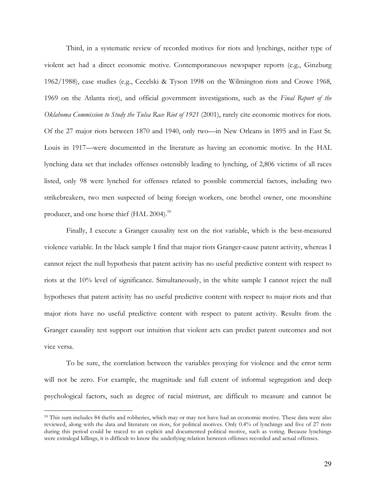Third, in a systematic review of recorded motives for riots and lynchings, neither type of violent act had a direct economic motive. Contemporaneous newspaper reports (e.g., Ginzburg 1962/1988), case studies (e.g., Cecelski & Tyson 1998 on the Wilmington riots and Crowe 1968, 1969 on the Atlanta riot), and official government investigations, such as the *Final Report of the Oklahoma Commission to Study the Tulsa Race Riot of 1921* (2001), rarely cite economic motives for riots. Of the 27 major riots between 1870 and 1940, only two—in New Orleans in 1895 and in East St. Louis in 1917—were documented in the literature as having an economic motive. In the HAL lynching data set that includes offenses ostensibly leading to lynching, of 2,806 victims of all races listed, only 98 were lynched for offenses related to possible commercial factors, including two strikebreakers, two men suspected of being foreign workers, one brothel owner, one moonshine producer, and one horse thief (HAL 2004).<sup>59</sup>

Finally, I execute a Granger causality test on the riot variable, which is the best-measured violence variable. In the black sample I find that major riots Granger-cause patent activity, whereas I cannot reject the null hypothesis that patent activity has no useful predictive content with respect to riots at the 10% level of significance. Simultaneously, in the white sample I cannot reject the null hypotheses that patent activity has no useful predictive content with respect to major riots and that major riots have no useful predictive content with respect to patent activity. Results from the Granger causality test support our intuition that violent acts can predict patent outcomes and not vice versa.

To be sure, the correlation between the variables proxying for violence and the error term will not be zero. For example, the magnitude and full extent of informal segregation and deep psychological factors, such as degree of racial mistrust, are difficult to measure and cannot be

-

<sup>59</sup> This sum includes 84 thefts and robberies, which may or may not have had an economic motive. These data were also reviewed, along with the data and literature on riots, for political motives. Only 0.4% of lynchings and five of 27 riots during this period could be traced to an explicit and documented political motive, such as voting. Because lynchings were extralegal killings, it is difficult to know the underlying relation between offenses recorded and actual offenses.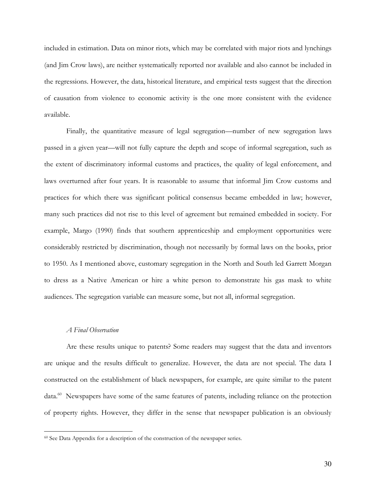included in estimation. Data on minor riots, which may be correlated with major riots and lynchings (and Jim Crow laws), are neither systematically reported nor available and also cannot be included in the regressions. However, the data, historical literature, and empirical tests suggest that the direction of causation from violence to economic activity is the one more consistent with the evidence available.

Finally, the quantitative measure of legal segregation—number of new segregation laws passed in a given year—will not fully capture the depth and scope of informal segregation, such as the extent of discriminatory informal customs and practices, the quality of legal enforcement, and laws overturned after four years. It is reasonable to assume that informal Jim Crow customs and practices for which there was significant political consensus became embedded in law; however, many such practices did not rise to this level of agreement but remained embedded in society. For example, Margo (1990) finds that southern apprenticeship and employment opportunities were considerably restricted by discrimination, though not necessarily by formal laws on the books, prior to 1950. As I mentioned above, customary segregation in the North and South led Garrett Morgan to dress as a Native American or hire a white person to demonstrate his gas mask to white audiences. The segregation variable can measure some, but not all, informal segregation.

## *A Final Observation*

-

Are these results unique to patents? Some readers may suggest that the data and inventors are unique and the results difficult to generalize. However, the data are not special. The data I constructed on the establishment of black newspapers, for example, are quite similar to the patent data.<sup>60</sup> Newspapers have some of the same features of patents, including reliance on the protection of property rights. However, they differ in the sense that newspaper publication is an obviously

<sup>60</sup> See Data Appendix for a description of the construction of the newspaper series.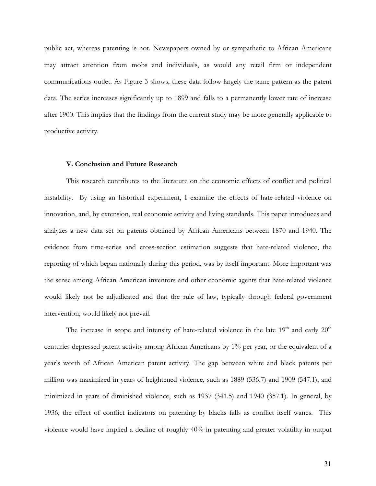public act, whereas patenting is not. Newspapers owned by or sympathetic to African Americans may attract attention from mobs and individuals, as would any retail firm or independent communications outlet. As Figure 3 shows, these data follow largely the same pattern as the patent data. The series increases significantly up to 1899 and falls to a permanently lower rate of increase after 1900. This implies that the findings from the current study may be more generally applicable to productive activity.

#### **V. Conclusion and Future Research**

This research contributes to the literature on the economic effects of conflict and political instability. By using an historical experiment, I examine the effects of hate-related violence on innovation, and, by extension, real economic activity and living standards. This paper introduces and analyzes a new data set on patents obtained by African Americans between 1870 and 1940. The evidence from time-series and cross-section estimation suggests that hate-related violence, the reporting of which began nationally during this period, was by itself important. More important was the sense among African American inventors and other economic agents that hate-related violence would likely not be adjudicated and that the rule of law, typically through federal government intervention, would likely not prevail.

The increase in scope and intensity of hate-related violence in the late  $19<sup>th</sup>$  and early  $20<sup>th</sup>$ centuries depressed patent activity among African Americans by 1% per year, or the equivalent of a year's worth of African American patent activity. The gap between white and black patents per million was maximized in years of heightened violence, such as 1889 (536.7) and 1909 (547.1), and minimized in years of diminished violence, such as 1937 (341.5) and 1940 (357.1). In general, by 1936, the effect of conflict indicators on patenting by blacks falls as conflict itself wanes. This violence would have implied a decline of roughly 40% in patenting and greater volatility in output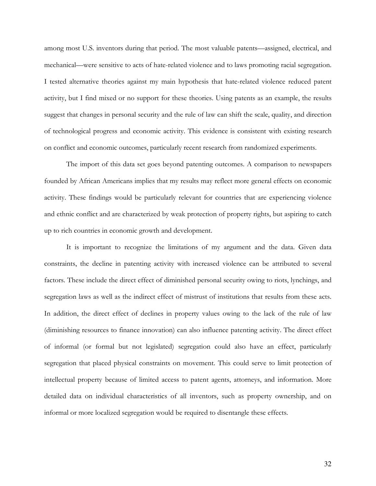among most U.S. inventors during that period. The most valuable patents—assigned, electrical, and mechanical—were sensitive to acts of hate-related violence and to laws promoting racial segregation. I tested alternative theories against my main hypothesis that hate-related violence reduced patent activity, but I find mixed or no support for these theories. Using patents as an example, the results suggest that changes in personal security and the rule of law can shift the scale, quality, and direction of technological progress and economic activity. This evidence is consistent with existing research on conflict and economic outcomes, particularly recent research from randomized experiments.

The import of this data set goes beyond patenting outcomes. A comparison to newspapers founded by African Americans implies that my results may reflect more general effects on economic activity. These findings would be particularly relevant for countries that are experiencing violence and ethnic conflict and are characterized by weak protection of property rights, but aspiring to catch up to rich countries in economic growth and development.

It is important to recognize the limitations of my argument and the data. Given data constraints, the decline in patenting activity with increased violence can be attributed to several factors. These include the direct effect of diminished personal security owing to riots, lynchings, and segregation laws as well as the indirect effect of mistrust of institutions that results from these acts. In addition, the direct effect of declines in property values owing to the lack of the rule of law (diminishing resources to finance innovation) can also influence patenting activity. The direct effect of informal (or formal but not legislated) segregation could also have an effect, particularly segregation that placed physical constraints on movement. This could serve to limit protection of intellectual property because of limited access to patent agents, attorneys, and information. More detailed data on individual characteristics of all inventors, such as property ownership, and on informal or more localized segregation would be required to disentangle these effects.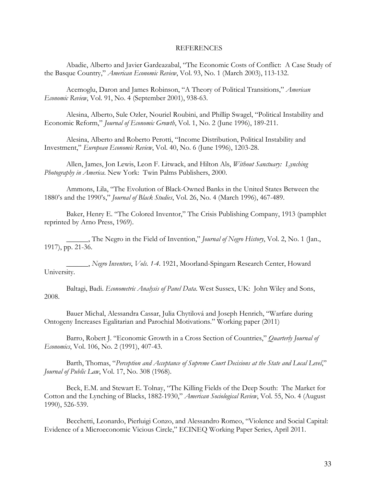#### REFERENCES

Abadie, Alberto and Javier Gardeazabal, "The Economic Costs of Conflict: A Case Study of the Basque Country," *American Economic Review*, Vol. 93, No. 1 (March 2003), 113-132.

Acemoglu, Daron and James Robinson, "A Theory of Political Transitions," *American Economic Review*, Vol. 91, No. 4 (September 2001), 938-63.

Alesina, Alberto, Sule Ozler, Nouriel Roubini, and Phillip Swagel, "Political Instability and Economic Reform," *Journal of Economic Growth*, Vol. 1, No. 2 (June 1996), 189-211.

Alesina, Alberto and Roberto Perotti, "Income Distribution, Political Instability and Investment," *European Economic Review*, Vol. 40, No. 6 (June 1996), 1203-28.

Allen, James, Jon Lewis, Leon F. Litwack, and Hilton Als, *Without Sanctuary: Lynching Photography in America*. New York: Twin Palms Publishers, 2000.

Ammons, Lila, "The Evolution of Black-Owned Banks in the United States Between the 1880's and the 1990's," *Journal of Black Studies*, Vol. 26, No. 4 (March 1996), 467-489.

Baker, Henry E. "The Colored Inventor," The Crisis Publishing Company, 1913 (pamphlet reprinted by Arno Press, 1969).

\_\_\_\_\_\_, The Negro in the Field of Invention," *Journal of Negro History*, Vol. 2, No. 1 (Jan., 1917), pp. 21-36.

\_\_\_\_\_\_, *Negro Inventors*, *Vols. 1-4*. 1921, Moorland-Spingarn Research Center, Howard University.

Baltagi, Badi. *Econometric Analysis of Panel Data*. West Sussex, UK: John Wiley and Sons, 2008.

Bauer Michal, Alessandra Cassar, Julia Chytilová and Joseph Henrich, "Warfare during Ontogeny Increases Egalitarian and Parochial Motivations." Working paper (2011)

Barro, Robert J. "Economic Growth in a Cross Section of Countries," *Quarterly Journal of Economics*, Vol. 106, No. 2 (1991), 407-43.

Barth, Thomas, "*Perception and Acceptance of Supreme Court Decisions at the State and Local Level*," *Journal of Public Law*, Vol. 17, No. 308 (1968).

Beck, E.M. and Stewart E. Tolnay, "The Killing Fields of the Deep South: The Market for Cotton and the Lynching of Blacks, 1882-1930," *American Sociological Review*, Vol. 55, No. 4 (August 1990), 526-539.

Becchetti, Leonardo, Pierluigi Conzo, and Alessandro Romeo, "Violence and Social Capital: Evidence of a Microeconomic Vicious Circle," ECINEQ Working Paper Series, April 2011.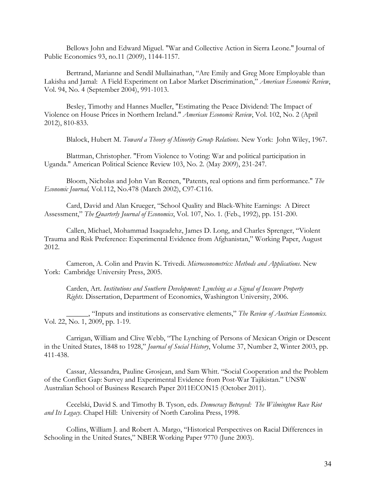Bellows John and Edward Miguel. "War and Collective Action in Sierra Leone." Journal of Public Economics 93, no.11 (2009), 1144-1157.

Bertrand, Marianne and Sendil Mullainathan, "Are Emily and Greg More Employable than Lakisha and Jamal: A Field Experiment on Labor Market Discrimination," *American Economic Review*, Vol. 94, No. 4 (September 2004), 991-1013.

 Besley, Timothy and Hannes Mueller, "Estimating the Peace Dividend: The Impact of Violence on House Prices in Northern Ireland." *American Economic Review*, Vol. 102, No. 2 (April 2012), 810-833.

Blalock, Hubert M. *Toward a Theory of Minority Group Relations*. New York: John Wiley, 1967.

 Blattman, Christopher. "From Violence to Voting: War and political participation in Uganda." American Political Science Review 103, No. 2. (May 2009), 231-247.

 Bloom, Nicholas and John Van Reenen, "Patents, real options and firm performance." *The Economic Journal,* Vol.112, No.478 (March 2002), C97-C116.

Card, David and Alan Krueger, "School Quality and Black-White Earnings: A Direct Assessment," *The Quarterly Journal of Economics*, Vol. 107, No. 1. (Feb., 1992), pp. 151-200.

Callen, Michael, Mohammad Isaqzadehz, James D. Long, and Charles Sprenger, "Violent Trauma and Risk Preference: Experimental Evidence from Afghanistan," Working Paper, August 2012.

Cameron, A. Colin and Pravin K. Trivedi. *Microeconometrics: Methods and Applications*. New York: Cambridge University Press, 2005.

Carden, Art. *Institutions and Southern Development: Lynching as a Signal of Insecure Property Rights*. Dissertation, Department of Economics, Washington University, 2006.

\_\_\_\_\_\_, "Inputs and institutions as conservative elements," *The Review of Austrian Economics.* Vol. 22, No. 1, 2009, pp. 1-19.

Carrigan, William and Clive Webb, "The Lynching of Persons of Mexican Origin or Descent in the United States, 1848 to 1928," *Journal of Social History*, Volume 37, Number 2, Winter 2003, pp. 411-438.

Cassar, Alessandra, Pauline Grosjean, and Sam Whitt. "Social Cooperation and the Problem of the Conflict Gap: Survey and Experimental Evidence from Post-War Tajikistan." UNSW Australian School of Business Research Paper 2011ECON15 (October 2011).

Cecelski, David S. and Timothy B. Tyson, eds. *Democracy Betrayed: The Wilmington Race Riot and Its Legacy*. Chapel Hill: University of North Carolina Press, 1998.

Collins, William J. and Robert A. Margo, "Historical Perspectives on Racial Differences in Schooling in the United States," NBER Working Paper 9770 (June 2003).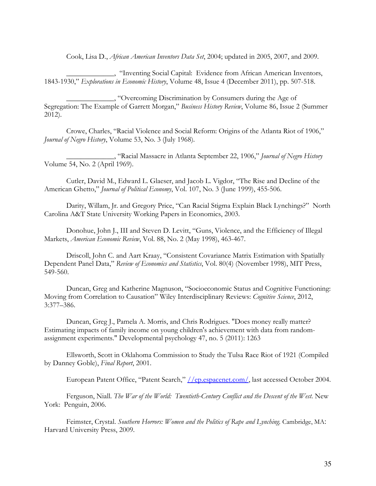Cook, Lisa D., *African American Inventors Data Set*, 2004; updated in 2005, 2007, and 2009.

\_\_\_\_\_\_\_\_\_\_\_\_\_, "Inventing Social Capital: Evidence from African American Inventors, 1843-1930," *Explorations in Economic History*, Volume 48, Issue 4 (December 2011), pp. 507-518.

\_\_\_\_\_\_\_\_\_\_\_\_\_, "Overcoming Discrimination by Consumers during the Age of Segregation: The Example of Garrett Morgan," *Business History Review*, Volume 86, Issue 2 (Summer 2012).

Crowe, Charles, "Racial Violence and Social Reform: Origins of the Atlanta Riot of 1906," *Journal of Negro History*, Volume 53, No. 3 (July 1968).

\_\_\_\_\_\_\_\_\_\_\_\_\_, "Racial Massacre in Atlanta September 22, 1906," *Journal of Negro History* Volume 54, No. 2 (April 1969).

Cutler, David M., Edward L. Glaeser, and Jacob L. Vigdor, "The Rise and Decline of the American Ghetto," *Journal of Political Economy*, Vol. 107, No. 3 (June 1999), 455-506.

Darity, Willam, Jr. and Gregory Price, "Can Racial Stigma Explain Black Lynchings?" North Carolina A&T State University Working Papers in Economics, 2003.

Donohue, John J., III and Steven D. Levitt, "Guns, Violence, and the Efficiency of Illegal Markets, *American Economic Review*, Vol. 88, No. 2 (May 1998), 463-467.

Driscoll, John C. and Aart Kraay, "Consistent Covariance Matrix Estimation with Spatially Dependent Panel Data," *Review of Economics and Statistics*, Vol. 80(4) (November 1998), MIT Press, 549-560.

Duncan, Greg and Katherine Magnuson, "Socioeconomic Status and Cognitive Functioning: Moving from Correlation to Causation" Wiley Interdisciplinary Reviews: *Cognitive Science*, 2012, 3:377–386.

Duncan, Greg J., Pamela A. Morris, and Chris Rodrigues. "Does money really matter? Estimating impacts of family income on young children's achievement with data from randomassignment experiments." Developmental psychology 47, no. 5 (2011): 1263

Ellsworth, Scott in Oklahoma Commission to Study the Tulsa Race Riot of 1921 (Compiled by Danney Goble), *Final Report*, 2001.

European Patent Office, "Patent Search," *|/ep.espacenet.com/*, last accessed October 2004.

Ferguson, Niall. *The War of the World: Twentieth-Century Conflict and the Descent of the West*. New York: Penguin, 2006.

Feimster, Crystal. *Southern Horrors: Women and the Politics of Rape and Lynching.* Cambridge, MA: Harvard University Press, 2009.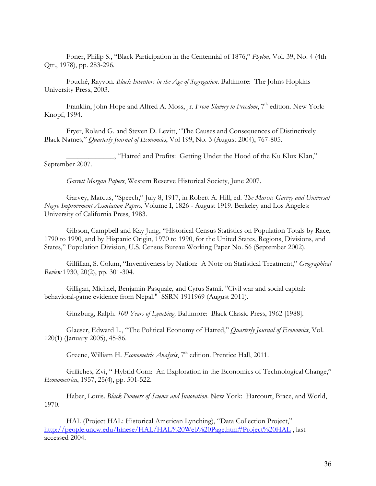Foner, Philip S., "Black Participation in the Centennial of 1876," *Phylon*, Vol. 39, No. 4 (4th Qtr., 1978), pp. 283-296.

Fouché, Rayvon. *Black Inventors in the Age of Segregation*. Baltimore: The Johns Hopkins University Press, 2003.

Franklin, John Hope and Alfred A. Moss, Jr. *From Slavery to Freedom*, 7<sup>th</sup> edition. New York: Knopf, 1994.

Fryer, Roland G. and Steven D. Levitt, "The Causes and Consequences of Distinctively Black Names," *Quarterly Journal of Economics*, Vol 199, No. 3 (August 2004), 767-805.

\_\_\_\_\_\_\_\_\_\_\_\_\_, "Hatred and Profits: Getting Under the Hood of the Ku Klux Klan," September 2007.

*Garrett Morgan Papers*, Western Reserve Historical Society, June 2007.

Garvey, Marcus, "Speech," July 8, 1917, in Robert A. Hill, ed. *The Marcus Garvey and Universal Negro Improvement Association Papers*, Volume I, 1826 - August 1919. Berkeley and Los Angeles: University of California Press, 1983.

Gibson, Campbell and Kay Jung, "Historical Census Statistics on Population Totals by Race, 1790 to 1990, and by Hispanic Origin, 1970 to 1990, for the United States, Regions, Divisions, and States," Population Division, U.S. Census Bureau Working Paper No. 56 (September 2002).

Gilfillan, S. Colum, "Inventiveness by Nation: A Note on Statistical Treatment," *Geographical Review* 1930, 20(2), pp. 301-304.

Gilligan, Michael, Benjamin Pasquale, and Cyrus Samii. "Civil war and social capital: behavioral-game evidence from Nepal." SSRN 1911969 (August 2011).

Ginzburg, Ralph. *100 Years of Lynching*. Baltimore: Black Classic Press, 1962 [1988].

Glaeser, Edward L., "The Political Economy of Hatred," *Quarterly Journal of Economics*, Vol. 120(1) (January 2005), 45-86.

Greene, William H. *Econometric Analysis*, 7<sup>th</sup> edition. Prentice Hall, 2011.

Griliches, Zvi, " Hybrid Corn: An Exploration in the Economics of Technological Change," *Econometrica*, 1957, 25(4), pp. 501-522.

Haber, Louis. *Black Pioneers of Science and Innovation*. New York: Harcourt, Brace, and World, 1970.

HAL (Project HAL: Historical American Lynching), "Data Collection Project," http://people.uncw.edu/hinese/HAL/HAL%20Web%20Page.htm#Project%20HAL , last accessed 2004.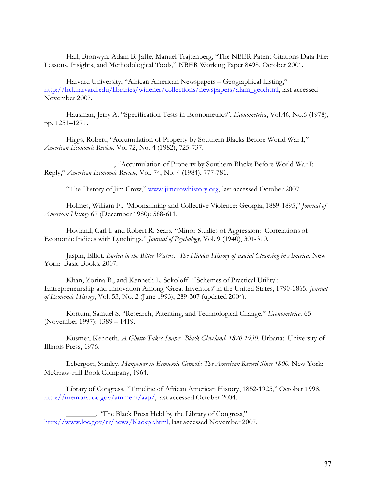Hall, Bronwyn, Adam B. Jaffe, Manuel Trajtenberg, "The NBER Patent Citations Data File: Lessons, Insights, and Methodological Tools," NBER Working Paper 8498, October 2001.

Harvard University, "African American Newspapers – Geographical Listing," http://hcl.harvard.edu/libraries/widener/collections/newspapers/afam\_geo.html, last accessed November 2007.

Hausman, Jerry A. "Specification Tests in Econometrics", *Econometrica*, Vol.46, No.6 (1978), pp. 1251–1271.

Higgs, Robert, "Accumulation of Property by Southern Blacks Before World War I," *American Economic Review*, Vol 72, No. 4 (1982), 725-737.

\_\_\_\_\_\_\_\_\_\_\_\_\_, "Accumulation of Property by Southern Blacks Before World War I: Reply," *American Economic Review*, Vol. 74, No. 4 (1984), 777-781.

"The History of Jim Crow," www.jimcrowhistory.org, last accessed October 2007.

Holmes, William F., "Moonshining and Collective Violence: Georgia, 1889-1895," *Journal of American History* 67 (December 1980): 588-611.

Hovland, Carl I. and Robert R. Sears, "Minor Studies of Aggression: Correlations of Economic Indices with Lynchings," *Journal of Psychology*, Vol. 9 (1940), 301-310.

Jaspin, Elliot. *Buried in the Bitter Waters: The Hidden History of Racial Cleansing in America*. New York: Basic Books, 2007.

Khan, Zorina B., and Kenneth L. Sokoloff. "'Schemes of Practical Utility': Entrepreneurship and Innovation Among 'Great Inventors' in the United States, 1790-1865. *Journal of Economic History*, Vol. 53, No. 2 (June 1993), 289-307 (updated 2004).

Kortum, Samuel S. "Research, Patenting, and Technological Change," *Econometrica.* 65 (November 1997): 1389 – 1419.

Kusmer, Kenneth*. A Ghetto Takes Shape: Black Cleveland, 1870-1930*. Urbana: University of Illinois Press, 1976.

Lebergott, Stanley. *Manpower in Economic Growth: The American Record Since 1800*. New York: McGraw-Hill Book Company, 1964.

Library of Congress, "Timeline of African American History, 1852-1925," October 1998, http://memory.loc.gov/ammem/aap/, last accessed October 2004.

\_\_\_\_\_\_\_\_, "The Black Press Held by the Library of Congress," http://www.loc.gov/rr/news/blackpr.html, last accessed November 2007.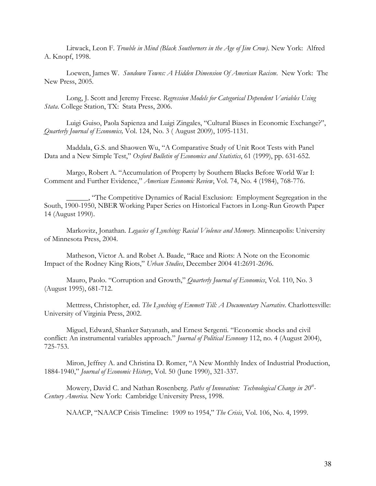Litwack, Leon F. *Trouble in Mind (Black Southerners in the Age of Jim Crow)*. New York: Alfred A. Knopf, 1998.

Loewen, James W. *Sundown Towns: A Hidden Dimension Of American Racism*. New York: The New Press, 2005.

Long, J. Scott and Jeremy Freese. *Regression Models for Categorical Dependent Variables Using Stata*. College Station, TX: Stata Press, 2006.

 Luigi Guiso, Paola Sapienza and Luigi Zingales, "Cultural Biases in Economic Exchange?", *Quarterly Journal of Economics,* Vol. 124, No. 3 ( August 2009), 1095-1131.

Maddala, G.S. and Shaowen Wu, "A Comparative Study of Unit Root Tests with Panel Data and a New Simple Test," *Oxford Bulletin of Economics and Statistics*, 61 (1999), pp. 631-652.

Margo, Robert A. "Accumulation of Property by Southern Blacks Before World War I: Comment and Further Evidence," *American Economic Review*, Vol. 74, No. 4 (1984), 768-776.

\_\_\_\_\_\_, "The Competitive Dynamics of Racial Exclusion: Employment Segregation in the South, 1900-1950, NBER Working Paper Series on Historical Factors in Long-Run Growth Paper 14 (August 1990).

Markovitz, Jonathan. *Legacies of Lynching: Racial Violence and Memory.* Minneapolis: University of Minnesota Press, 2004.

Matheson, Victor A. and Robet A. Baade, "Race and Riots: A Note on the Economic Impact of the Rodney King Riots," *Urban Studies*, December 2004 41:2691-2696.

Mauro, Paolo. "Corruption and Growth," *Quarterly Journal of Economics*, Vol. 110, No. 3 (August 1995), 681-712.

Mettress, Christopher, ed. *The Lynching of Emmett Till: A Documentary Narrative*. Charlottesville: University of Virginia Press, 2002.

Miguel, Edward, Shanker Satyanath, and Ernest Sergenti. "Economic shocks and civil conflict: An instrumental variables approach." *Journal of Political Economy* 112, no. 4 (August 2004), 725-753.

Miron, Jeffrey A. and Christina D. Romer, "A New Monthly Index of Industrial Production, 1884-1940," *Journal of Economic History*, Vol. 50 (June 1990), 321-337.

Mowery, David C. and Nathan Rosenberg. *Paths of Innovation: Technological Change in 20th - Century America.* New York: Cambridge University Press, 1998.

NAACP, "NAACP Crisis Timeline: 1909 to 1954," *The Crisis*, Vol. 106, No. 4, 1999.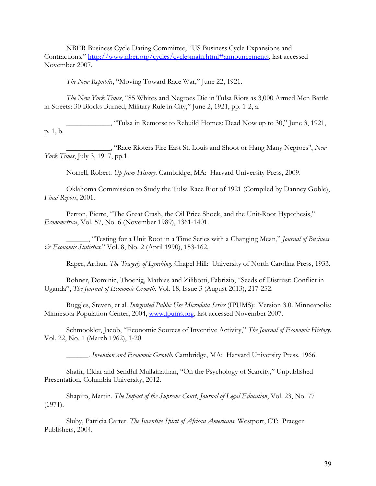NBER Business Cycle Dating Committee, "US Business Cycle Expansions and Contractions," http://www.nber.org/cycles/cyclesmain.html#announcements, last accessed November 2007.

*The New Republic*, "Moving Toward Race War," June 22, 1921.

*The New York Times*, "85 Whites and Negroes Die in Tulsa Riots as 3,000 Armed Men Battle in Streets: 30 Blocks Burned, Military Rule in City," June 2, 1921, pp. 1-2, a.

\_\_\_\_\_\_\_\_\_\_\_\_, "Tulsa in Remorse to Rebuild Homes: Dead Now up to 30," June 3, 1921, p. 1, b.

\_\_\_\_\_\_\_\_\_\_\_\_, "Race Rioters Fire East St. Louis and Shoot or Hang Many Negroes", *New York Times*, July 3, 1917, pp.1.

Norrell, Robert. *Up from History*. Cambridge, MA: Harvard University Press, 2009.

Oklahoma Commission to Study the Tulsa Race Riot of 1921 (Compiled by Danney Goble), *Final Report*, 2001.

Perron, Pierre, "The Great Crash, the Oil Price Shock, and the Unit-Root Hypothesis," *Econometrica*, Vol. 57, No. 6 (November 1989), 1361-1401.

\_\_\_\_\_\_, "Testing for a Unit Root in a Time Series with a Changing Mean," *Journal of Business & Economic Statistics,*" Vol. 8, No. 2 (April 1990), 153-162.

Raper, Arthur, *The Tragedy of Lynching*. Chapel Hill: University of North Carolina Press, 1933.

Rohner, Dominic, Thoenig, Mathias and Zilibotti, Fabrizio, "Seeds of Distrust: Conflict in Uganda", *The Journal of Economic Growth*. Vol. 18, Issue 3 (August 2013), 217-252.

Ruggles, Steven, et al. *Integrated Public Use Microdata Series* (IPUMS): Version 3.0. Minneapolis: Minnesota Population Center, 2004, www.ipums.org, last accessed November 2007.

Schmookler, Jacob, "Economic Sources of Inventive Activity," *The Journal of Economic History*. Vol. 22, No. 1 (March 1962), 1-20.

\_\_\_\_\_\_. *Invention and Economic Growth*. Cambridge, MA: Harvard University Press, 1966.

Shafir, Eldar and Sendhil Mullainathan, "On the Psychology of Scarcity," Unpublished Presentation, Columbia University, 2012.

Shapiro, Martin. *The Impact of the Supreme Court*, *Journal of Legal Education*, Vol. 23, No. 77 (1971).

Sluby, Patricia Carter. *The Inventive Spirit of African Americans*. Westport, CT: Praeger Publishers, 2004.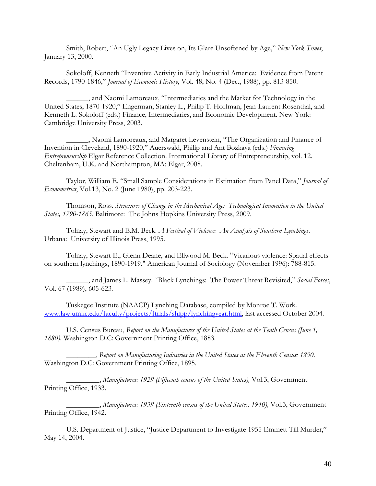Smith, Robert, "An Ugly Legacy Lives on, Its Glare Unsoftened by Age," *New York Times*, January 13, 2000.

Sokoloff, Kenneth "Inventive Activity in Early Industrial America: Evidence from Patent Records, 1790-1846," *Journal of Economic History*, Vol. 48, No. 4 (Dec., 1988), pp. 813-850.

\_\_\_\_\_\_, and Naomi Lamoreaux, "Intermediaries and the Market for Technology in the United States, 1870-1920," Engerman, Stanley L., Philip T. Hoffman, Jean-Laurent Rosenthal, and Kenneth L. Sokoloff (eds.) Finance, Intermediaries, and Economic Development. New York: Cambridge University Press, 2003.

\_\_\_\_\_\_, Naomi Lamoreaux, and Margaret Levenstein, "The Organization and Finance of Invention in Cleveland, 1890-1920," Auerswald, Philip and Ant Bozkaya (eds.) *Financing Entrepreneurship* Elgar Reference Collection. International Library of Entrepreneurship, vol. 12. Cheltenham, U.K. and Northampton, MA: Elgar, 2008.

Taylor, William E. "Small Sample Considerations in Estimation from Panel Data," *Journal of Econometrics*, Vol.13, No. 2 (June 1980), pp. 203-223.

Thomson, Ross. *Structures of Change in the Mechanical Age: Technological Innovation in the United States, 1790-1865*. Baltimore: The Johns Hopkins University Press, 2009.

Tolnay, Stewart and E.M. Beck. *A Festival of Violence: An Analysis of Southern Lynchings*. Urbana: University of Illinois Press, 1995.

Tolnay, Stewart E., Glenn Deane, and Ellwood M. Beck. "Vicarious violence: Spatial effects on southern lynchings, 1890-1919." American Journal of Sociology (November 1996): 788-815.

\_\_\_\_\_\_, and James L. Massey. "Black Lynchings: The Power Threat Revisited," *Social Forces*, Vol. 67 (1989), 605-623.

Tuskegee Institute (NAACP) Lynching Database, compiled by Monroe T. Work. www.law.umkc.edu/faculty/projects/ftrials/shipp/lynchingyear.html, last accessed October 2004.

U.S. Census Bureau, *Report on the Manufactures of the United States at the Tenth Census (June 1, 1880).* Washington D.C: Government Printing Office, 1883.

\_\_\_\_\_\_\_\_, *Report on Manufacturing Industries in the United States at the Eleventh Census: 1890.*  Washington D.C: Government Printing Office, 1895.

\_\_\_\_\_\_\_\_\_, *Manufactures: 1929 (Fifteenth census of the United States),* Vol.3, Government Printing Office, 1933.

\_\_\_\_\_\_\_\_\_, *Manufactures: 1939 (Sixteenth census of the United States: 1940),* Vol.3, Government Printing Office, 1942.

U.S. Department of Justice, "Justice Department to Investigate 1955 Emmett Till Murder," May 14, 2004.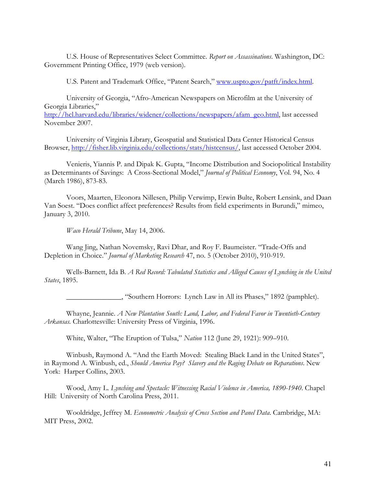U.S. House of Representatives Select Committee. *Report on Assassinations*. Washington, DC: Government Printing Office, 1979 (web version).

U.S. Patent and Trademark Office, "Patent Search," www.uspto.gov/patft/index.html.

University of Georgia, "Afro-American Newspapers on Microfilm at the University of Georgia Libraries," http://hcl.harvard.edu/libraries/widener/collections/newspapers/afam\_geo.html, last accessed November 2007.

University of Virginia Library, Geospatial and Statistical Data Center Historical Census Browser, http://fisher.lib.virginia.edu/collections/stats/histcensus/, last accessed October 2004.

Venieris, Yiannis P. and Dipak K. Gupta, "Income Distribution and Sociopolitical Instability as Determinants of Savings: A Cross-Sectional Model," *Journal of Political Economy*, Vol. 94, No. 4 (March 1986), 873-83.

Voors, Maarten, Eleonora Nillesen, Philip Verwimp, Erwin Bulte, Robert Lensink, and Daan Van Soest. "Does conflict affect preferences? Results from field experiments in Burundi," mimeo, January 3, 2010.

*Waco Herald Tribune*, May 14, 2006.

Wang Jing, Nathan Novemsky, Ravi Dhar, and Roy F. Baumeister. "Trade-Offs and Depletion in Choice." *Journal of Marketing Research* 47, no. 5 (October 2010), 910-919.

Wells-Barnett, Ida B. *A Red Record: Tabulated Statistics and Alleged Causes of Lynching in the United States*, 1895.

\_\_\_\_\_\_\_\_\_\_\_\_\_\_\_, "Southern Horrors: Lynch Law in All its Phases," 1892 (pamphlet).

Whayne, Jeannie. *A New Plantation South: Land, Labor, and Federal Favor in Twentieth-Century Arkansas.* Charlottesville: University Press of Virginia, 1996.

White, Walter, "The Eruption of Tulsa," *Nation* 112 (June 29, 1921): 909–910.

Winbush, Raymond A. "And the Earth Moved: Stealing Black Land in the United States", in Raymond A. Winbush, ed., *Should America Pay? Slavery and the Raging Debate on Reparations*. New York: Harper Collins, 2003.

Wood, Amy L. *Lynching and Spectacle: Witnessing Racial Violence in America, 1890-1940*. Chapel Hill: University of North Carolina Press, 2011.

Wooldridge, Jeffrey M. *Econometric Analysis of Cross Section and Panel Data*. Cambridge, MA: MIT Press, 2002.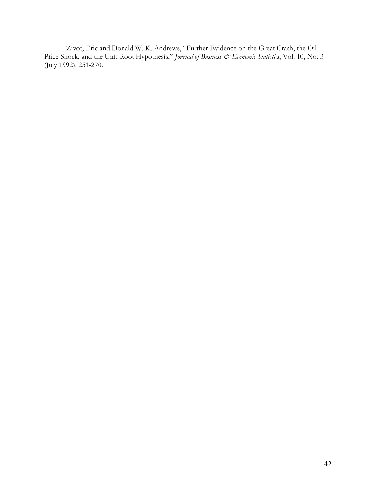Zivot, Eric and Donald W. K. Andrews, "Further Evidence on the Great Crash, the Oil-Price Shock, and the Unit-Root Hypothesis," *Journal of Business & Economic Statistics*, Vol. 10, No. 3 (July 1992), 251-270.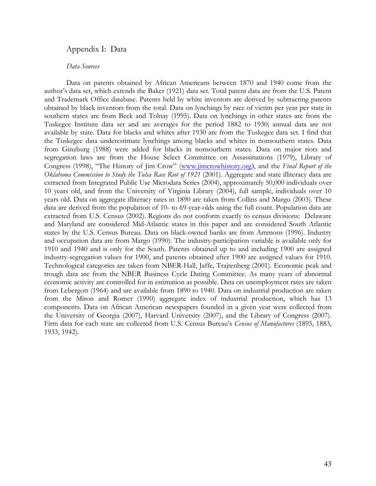## Appendix I: Data

#### *Data Sources*

Data on patents obtained by African Americans between 1870 and 1940 come from the author's data set, which extends the Baker (1921) data set. Total patent data are from the U.S. Patent and Trademark Office database. Patents held by white inventors are derived by subtracting patents obtained by black inventors from the total. Data on lynchings by race of victim per year per state in southern states are from Beck and Tolnay (1995). Data on lynchings in other states are from the Tuskegee Institute data set and are averages for the period 1882 to 1930; annual data are not available by state. Data for blacks and whites after 1930 are from the Tuskegee data set. I find that the Tuskegee data underestimate lynchings among blacks and whites in nonsouthern states. Data from Ginzburg (1988) were added for blacks in nonsouthern states. Data on major riots and segregation laws are from the House Select Committee on Assassinations (1979), Library of Congress (1998), "The History of Jim Crow" (www.jimcrowhistory.org), and the *Final Report of the Oklahoma Commission to Study the Tulsa Race Riot of 1921* (2001). Aggregate and state illiteracy data are extracted from Integrated Public Use Microdata Series (2004), approximately 50,000 individuals over 10 years old, and from the University of Virginia Library (2004), full sample, individuals over 10 years old. Data on aggregate illiteracy rates in 1890 are taken from Collins and Margo (2003). These data are derived from the population of 10- to 69-year-olds using the full count. Population data are extracted from U.S. Census (2002). Regions do not conform exactly to census divisions: Delaware and Maryland are considered Mid-Atlantic states in this paper and are considered South Atlantic states by the U.S. Census Bureau. Data on black-owned banks are from Ammons (1996). Industry and occupation data are from Margo (1990). The industry-participation variable is available only for 1910 and 1940 and is only for the South. Patents obtained up to and including 1900 are assigned industry-segregation values for 1900, and patents obtained after 1900 are assigned values for 1910. Technological categories are taken from NBER-Hall, Jaffe, Trajtenberg (2001). Economic peak and trough data are from the NBER Business Cycle Dating Committee. As many years of abnormal economic activity are controlled for in estimation as possible. Data on unemployment rates are taken from Lebergott (1964) and are available from 1890 to 1940. Data on industrial production are taken from the Miron and Romer (1990) aggregate index of industrial production, which has 13 components. Data on African American newspapers founded in a given year were collected from the University of Georgia (2007), Harvard University (2007), and the Library of Congress (2007). Firm data for each state are collected from U.S. Census Bureau's *Census of Manufactures* (1895, 1883, 1933, 1942).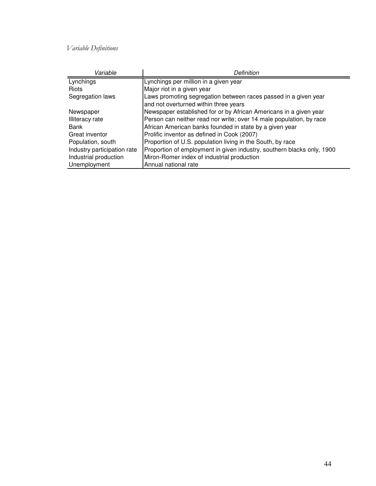# *Variable Definitions*

| Variable                    | Definition                                                             |
|-----------------------------|------------------------------------------------------------------------|
| Lynchings                   | Lynchings per million in a given year                                  |
| Riots                       | Major riot in a given year                                             |
| Segregation laws            | Laws promoting segregation between races passed in a given year        |
|                             | and not overturned within three years                                  |
| Newspaper                   | Newspaper established for or by African Americans in a given year      |
| <b>Illiteracy</b> rate      | Person can neither read nor write; over 14 male population, by race    |
| <b>Bank</b>                 | African American banks founded in state by a given year                |
| Great inventor              | Prolific inventor as defined in Cook (2007)                            |
| Population, south           | Proportion of U.S. population living in the South, by race             |
| Industry participation rate | Proportion of employment in given industry, southern blacks only, 1900 |
| Industrial production       | Miron-Romer index of industrial production                             |
| Unemployment                | Annual national rate                                                   |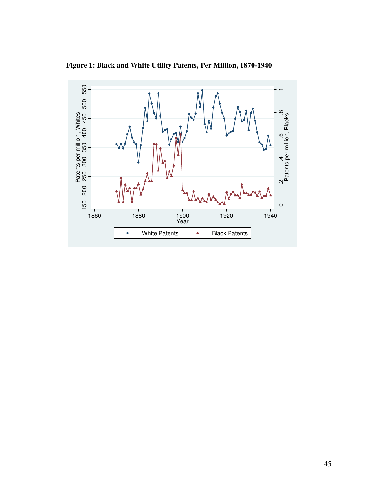**Figure 1: Black and White Utility Patents, Per Million, 1870-1940** 

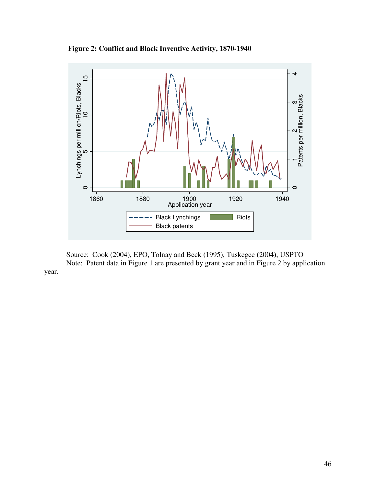**Figure 2: Conflict and Black Inventive Activity, 1870-1940** 



Source: Cook (2004), EPO, Tolnay and Beck (1995), Tuskegee (2004), USPTO Note: Patent data in Figure 1 are presented by grant year and in Figure 2 by application year.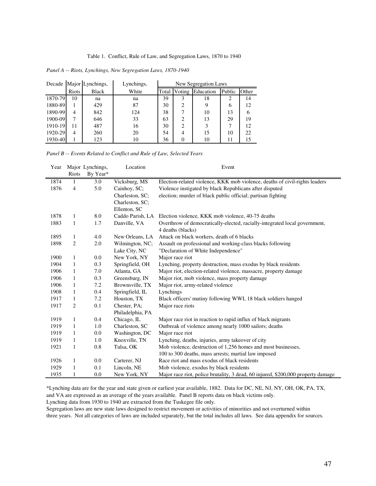#### Table 1. Conflict, Rule of Law, and Segregation Laws, 1870 to 1940

| Panel A -- Riots, Lynchings, New Segregation Laws, 1870-1940 |  |  |  |  |  |
|--------------------------------------------------------------|--|--|--|--|--|
|--------------------------------------------------------------|--|--|--|--|--|

|         |                | Decade Major Lynchings, | Lynchings, | New Segregation Laws |                |           |        |       |
|---------|----------------|-------------------------|------------|----------------------|----------------|-----------|--------|-------|
|         | <b>Riots</b>   | <b>Black</b>            | White      | Total                | Voting         | Education | Public | Other |
| 1870-79 | 10             | na                      | na         | 39                   | 3              | 18        | 2      | 14    |
| 1880-89 |                | 429                     | 87         | 30                   | $\overline{c}$ |           | 6      | 12    |
| 1890-99 | $\overline{4}$ | 842                     | 124        | 38                   |                | 10        | 13     | 6     |
| 1900-09 | 7              | 646                     | 33         | 63                   | $\mathfrak{D}$ | 13        | 29     | 19    |
| 1910-19 | 11             | 487                     | 16         | 30                   | 2              |           | 7      | 12    |
| 1920-29 | $\overline{4}$ | 260                     | 20         | 54                   | 4              | 15        | 10     | 22    |
| 1930-40 |                | 123                     | 10         | 36                   | $\Omega$       | 10        | 11     | 15    |

*Panel B -- Events Related to Conflict and Rule of Law, Selected Years*

| Year |              | Major Lynchings, | Location         | Event                                                                            |
|------|--------------|------------------|------------------|----------------------------------------------------------------------------------|
|      | Riots        | By Year*         |                  |                                                                                  |
| 1874 | 1            | 3.0              | Vicksburg, MS    | Election-related violence, KKK mob violence, deaths of civil-rights leaders      |
| 1876 | 4            | 5.0              | Cainhoy, SC;     | Violence instigated by black Republicans after disputed                          |
|      |              |                  | Charleston, SC;  | election; murder of black public official; partisan fighting                     |
|      |              |                  | Charleston, SC:  |                                                                                  |
|      |              |                  | Ellenton, SC     |                                                                                  |
| 1878 | 1            | 8.0              | Caddo Parish, LA | Election violence, KKK mob violence, 40-75 deaths                                |
| 1883 | 1            | 1.7              | Danville, VA     | Overthrow of democratically-elected, racially-integrated local government,       |
|      |              |                  |                  | 4 deaths (blacks)                                                                |
| 1895 | $\mathbf{1}$ | 4.0              | New Orleans, LA  | Attack on black workers, death of 6 blacks                                       |
| 1898 | 2            | 2.0              | Wilmington, NC;  | Assault on professional and working-class blacks following                       |
|      |              |                  | Lake City, NC    | "Declaration of White Independence"                                              |
| 1900 | 1            | 0.0              | New York, NY     | Major race riot                                                                  |
| 1904 | 1            | 0.3              | Springfield, OH  | Lynching, property destruction, mass exodus by black residents                   |
| 1906 | 1            | 7.0              | Atlanta, GA      | Major riot, election-related violence, massacre, property damage                 |
| 1906 | 1            | 0.3              | Greensburg, IN   | Major riot, mob violence, mass property damage                                   |
| 1906 | 1            | 7.2              | Brownsville, TX  | Major riot, army-related violence                                                |
| 1908 | 1            | 0.4              | Springfield, IL  | Lynchings                                                                        |
| 1917 | 1            | 7.2              | Houston, TX      | Black officers' mutiny following WWI, 18 black soldiers hanged                   |
| 1917 | 2            | 0.1              | Chester, PA;     | Major race riots                                                                 |
|      |              |                  | Philadelphia, PA |                                                                                  |
| 1919 | 1            | 0.4              | Chicago, IL      | Major race riot in reaction to rapid influx of black migrants                    |
| 1919 | 1            | 1.0              | Charleston, SC   | Outbreak of violence among nearly 1000 sailors; deaths                           |
| 1919 | 1            | 0.0              | Washington, DC   | Major race riot                                                                  |
| 1919 | 1            | 1.0              | Knoxville, TN    | Lynching, deaths, injuries, army takeover of city                                |
| 1921 | 1            | 0.8              | Tulsa, OK        | Mob violence, destruction of 1,256 homes and most businesses,                    |
|      |              |                  |                  | 100 to 300 deaths, mass arrests; martial law imposed                             |
| 1926 | 1            | 0.0              | Carterer, NJ     | Race riot and mass exodus of black residents                                     |
| 1929 | 1            | 0.1              | Lincoln, NE      | Mob violence, exodus by black residents                                          |
| 1935 | 1            | 0.0              | New York, NY     | Major race riot, police brutality, 3 dead, 60 injured, \$200,000 property damage |

\*Lynching data are for the year and state given or earliest year available, 1882. Data for DC, NE, NJ, NY, OH, OK, PA, TX, and VA are expressed as an average of the years available. Panel B reports data on black victims only.

Lynching data from 1930 to 1940 are extracted from the Tuskegee file only.

Segregation laws are new state laws designed to restrict movement or activities of minorities and not overturned within three years. Not all categories of laws are included separately, but the total includes all laws. See data appendix for sources.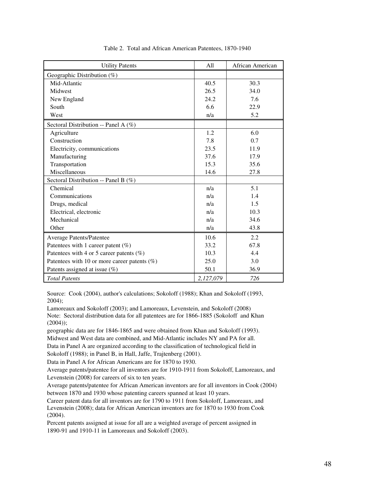| <b>Utility Patents</b>                          | All       | African American |
|-------------------------------------------------|-----------|------------------|
| Geographic Distribution (%)                     |           |                  |
| Mid-Atlantic                                    | 40.5      | 30.3             |
| Midwest                                         | 26.5      | 34.0             |
| New England                                     | 24.2      | 7.6              |
| South                                           | 6.6       | 22.9             |
| West                                            | n/a       | 5.2              |
| Sectoral Distribution -- Panel A (%)            |           |                  |
| Agriculture                                     | 1.2       | 6.0              |
| Construction                                    | 7.8       | 0.7              |
| Electricity, communications                     | 23.5      | 11.9             |
| Manufacturing                                   | 37.6      | 17.9             |
| Transportation                                  | 15.3      | 35.6             |
| Miscellaneous                                   | 14.6      | 27.8             |
| Sectoral Distribution -- Panel B (%)            |           |                  |
| Chemical                                        | n/a       | 5.1              |
| Communications                                  | n/a       | 1.4              |
| Drugs, medical                                  | n/a       | 1.5              |
| Electrical, electronic                          | n/a       | 10.3             |
| Mechanical                                      | n/a       | 34.6             |
| Other                                           | n/a       | 43.8             |
| <b>Average Patents/Patentee</b>                 | 10.6      | 2.2              |
| Patentees with 1 career patent $(\%)$           | 33.2      | 67.8             |
| Patentees with 4 or 5 career patents $(\%)$     | 10.3      | 4.4              |
| Patentees with 10 or more career patents $(\%)$ | 25.0      | 3.0              |
| Patents assigned at issue $(\%)$                | 50.1      | 36.9             |
| <b>Total Patents</b>                            | 2,127,079 | 726              |

#### Table 2. Total and African American Patentees, 1870-1940

Source: Cook (2004), author's calculations; Sokoloff (1988); Khan and Sokoloff (1993, 2004);

Lamoreaux and Sokoloff (2003); and Lamoreaux, Levenstein, and Sokoloff (2008) Note: Sectoral distribution data for all patentees are for 1866-1885 (Sokoloff and Khan (2004));

geographic data are for 1846-1865 and were obtained from Khan and Sokoloff (1993). Midwest and West data are combined, and Mid-Atlantic includes NY and PA for all.

Data in Panel A are organized according to the classification of technological field in

Sokoloff (1988); in Panel B, in Hall, Jaffe, Trajtenberg (2001).

Data in Panel A for African Americans are for 1870 to 1930.

Average patents/patentee for all inventors are for 1910-1911 from Sokoloff, Lamoreaux, and Levenstein (2008) for careers of six to ten years.

Average patents/patentee for African American inventors are for all inventors in Cook (2004) between 1870 and 1930 whose patenting careers spanned at least 10 years.

Career patent data for all inventors are for 1790 to 1911 from Sokoloff, Lamoreaux, and Levenstein (2008); data for African American inventors are for 1870 to 1930 from Cook (2004).

Percent patents assigned at issue for all are a weighted average of percent assigned in 1890-91 and 1910-11 in Lamoreaux and Sokoloff (2003).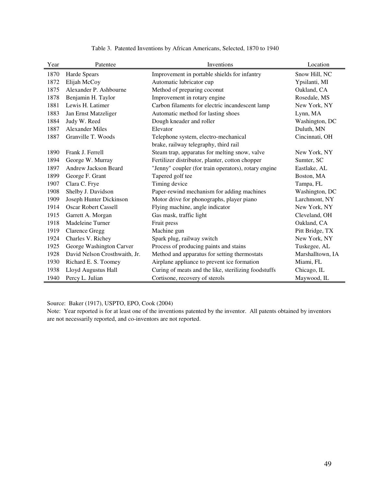| Year | Patentee                      | Inventions                                           | Location         |
|------|-------------------------------|------------------------------------------------------|------------------|
| 1870 | Harde Spears                  | Improvement in portable shields for infantry         | Snow Hill, NC    |
| 1872 | Elijah McCoy                  | Automatic lubricator cup                             | Ypsilanti, MI    |
| 1875 | Alexander P. Ashbourne        | Method of preparing coconut                          | Oakland, CA      |
| 1878 | Benjamin H. Taylor            | Improvement in rotary engine                         | Rosedale, MS     |
| 1881 | Lewis H. Latimer              | Carbon filaments for electric incandescent lamp      | New York, NY     |
| 1883 | Jan Ernst Matzeliger          | Automatic method for lasting shoes                   | Lynn, MA         |
| 1884 | Judy W. Reed                  | Dough kneader and roller                             | Washington, DC   |
| 1887 | <b>Alexander Miles</b>        | Elevator                                             | Duluth, MN       |
| 1887 | Granville T. Woods            | Telephone system, electro-mechanical                 | Cincinnati, OH   |
|      |                               | brake, railway telegraphy, third rail                |                  |
| 1890 | Frank J. Ferrell              | Steam trap, apparatus for melting snow, valve        | New York, NY     |
| 1894 | George W. Murray              | Fertilizer distributor, planter, cotton chopper      | Sumter, SC       |
| 1897 | <b>Andrew Jackson Beard</b>   | "Jenny" coupler (for train operators), rotary engine | Eastlake, AL     |
| 1899 | George F. Grant               | Tapered golf tee                                     | Boston, MA       |
| 1907 | Clara C. Frye                 | Timing device                                        | Tampa, FL        |
| 1908 | Shelby J. Davidson            | Paper-rewind mechanism for adding machines           | Washington, DC   |
| 1909 | Joseph Hunter Dickinson       | Motor drive for phonographs, player piano            | Larchmont, NY    |
| 1914 | <b>Oscar Robert Cassell</b>   | Flying machine, angle indicator                      | New York, NY     |
| 1915 | Garrett A. Morgan             | Gas mask, traffic light                              | Cleveland, OH    |
| 1918 | Madeleine Turner              | Fruit press                                          | Oakland, CA      |
| 1919 | <b>Clarence Gregg</b>         | Machine gun                                          | Pitt Bridge, TX  |
| 1924 | Charles V. Richey             | Spark plug, railway switch                           | New York, NY     |
| 1925 | George Washington Carver      | Process of producing paints and stains               | Tuskegee, AL     |
| 1928 | David Nelson Crosthwaith, Jr. | Method and apparatus for setting thermostats         | Marshalltown, IA |
| 1930 | Richard E. S. Toomey          | Airplane appliance to prevent ice formation          | Miami, FL        |
| 1938 | Lloyd Augustus Hall           | Curing of meats and the like, sterilizing foodstuffs | Chicago, IL      |
| 1940 | Percy L. Julian               | Cortisone, recovery of sterols                       | Maywood, IL      |

Table 3. Patented Inventions by African Americans, Selected, 1870 to 1940

Source: Baker (1917), USPTO, EPO, Cook (2004)

Note: Year reported is for at least one of the inventions patented by the inventor. All patents obtained by inventors are not necessarily reported, and co-inventors are not reported.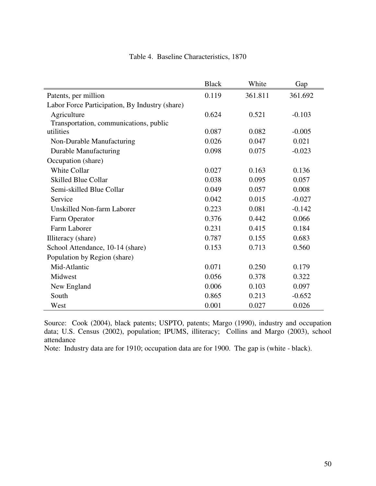|                                                | <b>Black</b> | White   | Gap      |
|------------------------------------------------|--------------|---------|----------|
| Patents, per million                           | 0.119        | 361.811 | 361.692  |
| Labor Force Participation, By Industry (share) |              |         |          |
| Agriculture                                    | 0.624        | 0.521   | $-0.103$ |
| Transportation, communications, public         |              |         |          |
| utilities                                      | 0.087        | 0.082   | $-0.005$ |
| Non-Durable Manufacturing                      | 0.026        | 0.047   | 0.021    |
| <b>Durable Manufacturing</b>                   | 0.098        | 0.075   | $-0.023$ |
| Occupation (share)                             |              |         |          |
| <b>White Collar</b>                            | 0.027        | 0.163   | 0.136    |
| <b>Skilled Blue Collar</b>                     | 0.038        | 0.095   | 0.057    |
| Semi-skilled Blue Collar                       | 0.049        | 0.057   | 0.008    |
| Service                                        | 0.042        | 0.015   | $-0.027$ |
| Unskilled Non-farm Laborer                     | 0.223        | 0.081   | $-0.142$ |
| Farm Operator                                  | 0.376        | 0.442   | 0.066    |
| Farm Laborer                                   | 0.231        | 0.415   | 0.184    |
| Illiteracy (share)                             | 0.787        | 0.155   | 0.683    |
| School Attendance, 10-14 (share)               | 0.153        | 0.713   | 0.560    |
| Population by Region (share)                   |              |         |          |
| Mid-Atlantic                                   | 0.071        | 0.250   | 0.179    |
| Midwest                                        | 0.056        | 0.378   | 0.322    |
| New England                                    | 0.006        | 0.103   | 0.097    |
| South                                          | 0.865        | 0.213   | $-0.652$ |
| West                                           | 0.001        | 0.027   | 0.026    |

## Table 4. Baseline Characteristics, 1870

Source: Cook (2004), black patents; USPTO, patents; Margo (1990), industry and occupation data; U.S. Census (2002), population; IPUMS, illiteracy; Collins and Margo (2003), school attendance

Note: Industry data are for 1910; occupation data are for 1900. The gap is (white - black).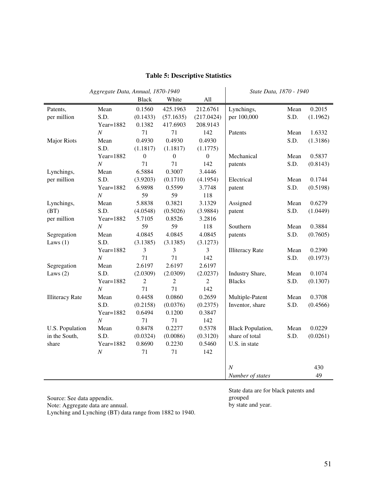|                        | Aggregate Data, Annual, 1870-1940 |                  |                  | State Data, 1870 - 1940 |                          |      |          |
|------------------------|-----------------------------------|------------------|------------------|-------------------------|--------------------------|------|----------|
|                        |                                   | Black            | White            | All                     |                          |      |          |
| Patents,               | Mean                              | 0.1560           | 425.1963         | 212.6761                | Lynchings,               | Mean | 0.2015   |
| per million            | S.D.                              | (0.1433)         | (57.1635)        | (217.0424)              | per 100,000              | S.D. | (1.1962) |
|                        | Year=1882                         | 0.1382           | 417.6903         | 208.9143                |                          |      |          |
|                        | $\cal N$                          | 71               | 71               | 142                     | Patents                  | Mean | 1.6332   |
| <b>Major Riots</b>     | Mean                              | 0.4930           | 0.4930           | 0.4930                  |                          | S.D. | (1.3186) |
|                        | S.D.                              | (1.1817)         | (1.1817)         | (1.1775)                |                          |      |          |
|                        | Year=1882                         | $\boldsymbol{0}$ | $\boldsymbol{0}$ | $\boldsymbol{0}$        | Mechanical               | Mean | 0.5837   |
|                        | $\cal N$                          | 71               | 71               | 142                     | patents                  | S.D. | (0.8143) |
| Lynchings,             | Mean                              | 6.5884           | 0.3007           | 3.4446                  |                          |      |          |
| per million            | S.D.                              | (3.9203)         | (0.1710)         | (4.1954)                | Electrical               | Mean | 0.1744   |
|                        | Year=1882                         | 6.9898           | 0.5599           | 3.7748                  | patent                   | S.D. | (0.5198) |
|                        | $\cal N$                          | 59               | 59               | 118                     |                          |      |          |
| Lynchings,             | Mean                              | 5.8838           | 0.3821           | 3.1329                  | Assigned                 | Mean | 0.6279   |
| (BT)                   | S.D.                              | (4.0548)         | (0.5026)         | (3.9884)                | patent                   | S.D. | (1.0449) |
| per million            | Year=1882                         | 5.7105           | 0.8526           | 3.2816                  |                          |      |          |
|                        | $\cal N$                          | 59               | 59               | 118                     | Southern                 | Mean | 0.3884   |
| Segregation            | Mean                              | 4.0845           | 4.0845           | 4.0845                  | patents                  | S.D. | (0.7605) |
| Laws $(1)$             | S.D.                              | (3.1385)         | (3.1385)         | (3.1273)                |                          |      |          |
|                        | Year=1882                         | 3                | 3                | 3                       | <b>Illiteracy Rate</b>   | Mean | 0.2390   |
|                        | $\cal N$                          | 71               | 71               | 142                     |                          | S.D. | (0.1973) |
| Segregation            | Mean                              | 2.6197           | 2.6197           | 2.6197                  |                          |      |          |
| Laws $(2)$             | S.D.                              | (2.0309)         | (2.0309)         | (2.0237)                | Industry Share,          | Mean | 0.1074   |
|                        | Year=1882                         | $\overline{c}$   | $\overline{2}$   | $\overline{2}$          | <b>Blacks</b>            | S.D. | (0.1307) |
|                        | $\cal N$                          | 71               | 71               | 142                     |                          |      |          |
| <b>Illiteracy Rate</b> | Mean                              | 0.4458           | 0.0860           | 0.2659                  | Multiple-Patent          | Mean | 0.3708   |
|                        | S.D.                              | (0.2158)         | (0.0376)         | (0.2375)                | Inventor, share          | S.D. | (0.4566) |
|                        | Year=1882                         | 0.6494           | 0.1200           | 0.3847                  |                          |      |          |
|                        | $\cal N$                          | 71               | 71               | 142                     |                          |      |          |
| U.S. Population        | Mean                              | 0.8478           | 0.2277           | 0.5378                  | <b>Black Population,</b> | Mean | 0.0229   |
| in the South,          | S.D.                              | (0.0324)         | (0.0086)         | (0.3120)                | share of total           | S.D. | (0.0261) |
| share                  | Year=1882                         | 0.8690           | 0.2230           | 0.5460                  | U.S. in state            |      |          |
|                        | $\cal N$                          | 71               | 71               | 142                     |                          |      |          |
|                        |                                   |                  |                  |                         |                          |      |          |
|                        |                                   |                  |                  |                         | N                        |      | 430      |
|                        |                                   |                  |                  |                         | Number of states         |      | 49       |

# **Table 5: Descriptive Statistics**

Source: See data appendix.

Note: Aggregate data are annual.

Lynching and Lynching (BT) data range from 1882 to 1940.

State data are for black patents and grouped by state and year.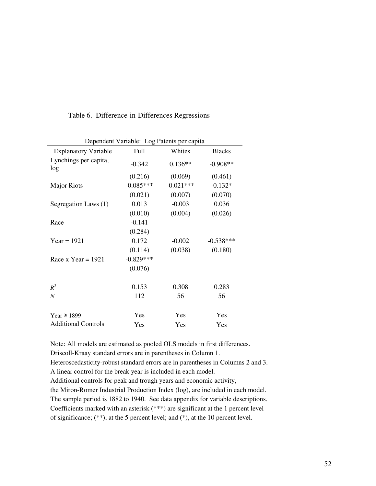| Dependent Variable: Log Patents per capita |             |             |               |  |  |  |
|--------------------------------------------|-------------|-------------|---------------|--|--|--|
| <b>Explanatory Variable</b>                | Full        | Whites      | <b>Blacks</b> |  |  |  |
| Lynchings per capita,<br>log               | $-0.342$    | $0.136**$   | $-0.908**$    |  |  |  |
|                                            | (0.216)     | (0.069)     | (0.461)       |  |  |  |
| <b>Major Riots</b>                         | $-0.085***$ | $-0.021***$ | $-0.132*$     |  |  |  |
|                                            | (0.021)     | (0.007)     | (0.070)       |  |  |  |
| Segregation Laws (1)                       | 0.013       | $-0.003$    | 0.036         |  |  |  |
|                                            | (0.010)     | (0.004)     | (0.026)       |  |  |  |
| Race                                       | $-0.141$    |             |               |  |  |  |
|                                            | (0.284)     |             |               |  |  |  |
| $Year = 1921$                              | 0.172       | $-0.002$    | $-0.538***$   |  |  |  |
|                                            | (0.114)     | (0.038)     | (0.180)       |  |  |  |
| Race x Year = $1921$                       | $-0.829***$ |             |               |  |  |  |
|                                            | (0.076)     |             |               |  |  |  |
|                                            |             |             |               |  |  |  |
| $R^2$                                      | 0.153       | 0.308       | 0.283         |  |  |  |
| $\boldsymbol{N}$                           | 112         | 56          | 56            |  |  |  |
|                                            |             |             |               |  |  |  |
| Year $\ge$ 1899                            | Yes         | Yes         | Yes           |  |  |  |
| <b>Additional Controls</b>                 | Yes         | Yes         | Yes           |  |  |  |

Dependent Variable: Log Patents per capita

Table 6. Difference-in-Differences Regressions

Note: All models are estimated as pooled OLS models in first differences.

Driscoll-Kraay standard errors are in parentheses in Column 1.

Heteroscedasticity-robust standard errors are in parentheses in Columns 2 and 3. A linear control for the break year is included in each model.

Additional controls for peak and trough years and economic activity,

the Miron-Romer Industrial Production Index (log), are included in each model. The sample period is 1882 to 1940. See data appendix for variable descriptions. Coefficients marked with an asterisk (\*\*\*) are significant at the 1 percent level of significance; (\*\*), at the 5 percent level; and (\*), at the 10 percent level.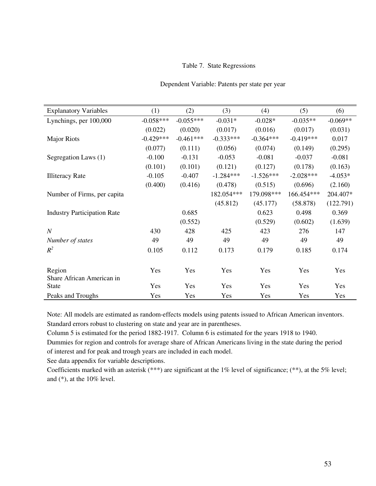#### Table 7. State Regressions

| <b>Explanatory Variables</b>              | (1)         | (2)         | (3)         | (4)         | (5)         | (6)        |
|-------------------------------------------|-------------|-------------|-------------|-------------|-------------|------------|
| Lynchings, per 100,000                    | $-0.058***$ | $-0.055***$ | $-0.031*$   | $-0.028*$   | $-0.035**$  | $-0.069**$ |
|                                           | (0.022)     | (0.020)     | (0.017)     | (0.016)     | (0.017)     | (0.031)    |
| <b>Major Riots</b>                        | $-0.429***$ | $-0.461***$ | $-0.333***$ | $-0.364***$ | $-0.419***$ | 0.017      |
|                                           | (0.077)     | (0.111)     | (0.056)     | (0.074)     | (0.149)     | (0.295)    |
| Segregation Laws (1)                      | $-0.100$    | $-0.131$    | $-0.053$    | $-0.081$    | $-0.037$    | $-0.081$   |
|                                           | (0.101)     | (0.101)     | (0.121)     | (0.127)     | (0.178)     | (0.163)    |
| <b>Illiteracy Rate</b>                    | $-0.105$    | $-0.407$    | $-1.284***$ | $-1.526***$ | $-2.028***$ | $-4.053*$  |
|                                           | (0.400)     | (0.416)     | (0.478)     | (0.515)     | (0.696)     | (2.160)    |
| Number of Firms, per capita               |             |             | 182.054***  | 179.098***  | 166.454***  | 204.407*   |
|                                           |             |             | (45.812)    | (45.177)    | (58.878)    | (122.791)  |
| <b>Industry Participation Rate</b>        |             | 0.685       |             | 0.623       | 0.498       | 0.369      |
|                                           |             | (0.552)     |             | (0.529)     | (0.602)     | (1.639)    |
| $\boldsymbol{N}$                          | 430         | 428         | 425         | 423         | 276         | 147        |
| Number of states                          | 49          | 49          | 49          | 49          | 49          | 49         |
| $R^2$                                     | 0.105       | 0.112       | 0.173       | 0.179       | 0.185       | 0.174      |
|                                           |             |             |             |             |             |            |
| Region                                    | Yes         | Yes         | Yes         | Yes         | Yes         | Yes        |
| Share African American in<br><b>State</b> | Yes         | Yes         | Yes         | Yes         | Yes         | Yes        |

#### Dependent Variable: Patents per state per year

Note: All models are estimated as random-effects models using patents issued to African American inventors. Standard errors robust to clustering on state and year are in parentheses.

Peaks and Troughs Yes Yes Yes Yes Yes Yes

Column 5 is estimated for the period 1882-1917. Column 6 is estimated for the years 1918 to 1940.

Dummies for region and controls for average share of African Americans living in the state during the period of interest and for peak and trough years are included in each model.

See data appendix for variable descriptions.

Coefficients marked with an asterisk (\*\*\*) are significant at the 1% level of significance; (\*\*), at the 5% level; and (\*), at the 10% level.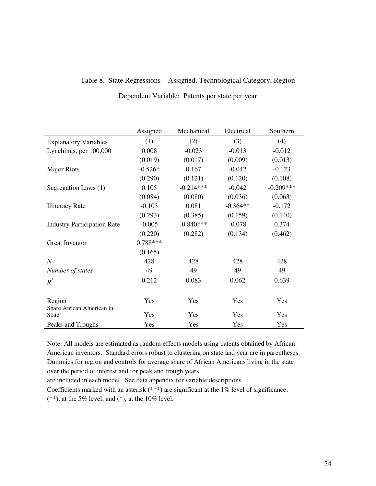| Table 8. State Regressions – Assigned, Technological Category, Region |  |  |
|-----------------------------------------------------------------------|--|--|
|                                                                       |  |  |

|                                    | Assigned   | Mechanical  | Electrical | Southern    |
|------------------------------------|------------|-------------|------------|-------------|
| <b>Explanatory Variables</b>       | (1)        | (2)         | (3)        | (4)         |
| Lynchings, per 100,000             | 0.008      | $-0.023$    | $-0.013$   | $-0.012$    |
|                                    | (0.019)    | (0.017)     | (0.009)    | (0.013)     |
| <b>Major Riots</b>                 | $-0.526*$  | 0.167       | $-0.042$   | $-0.123$    |
|                                    | (0.290)    | (0.121)     | (0.120)    | (0.108)     |
| Segregation Laws (1)               | 0.105      | $-0.214***$ | $-0.042$   | $-0.209***$ |
|                                    | (0.084)    | (0.080)     | (0.036)    | (0.063)     |
| <b>Illiteracy Rate</b>             | $-0.103$   | 0.081       | $-0.364**$ | $-0.172$    |
|                                    | (0.293)    | (0.385)     | (0.159)    | (0.140)     |
| <b>Industry Participation Rate</b> | $-0.005$   | $-0.840***$ | $-0.078$   | 0.374       |
|                                    | (0.220)    | (0.282)     | (0.134)    | (0.462)     |
| Great Inventor                     | $0.788***$ |             |            |             |
|                                    | (0.165)    |             |            |             |
| $\boldsymbol{N}$                   | 428        | 428         | 428        | 428         |
| Number of states                   | 49         | 49          | 49         | 49          |
| $R^2$                              | 0.212      | 0.083       | 0.062      | 0.639       |
|                                    |            |             |            |             |
| Region                             | Yes        | Yes         | Yes        | Yes         |
| Share African American in          |            |             |            |             |
| <b>State</b>                       | Yes        | Yes         | Yes        | Yes         |
| Peaks and Troughs                  | Yes        | Yes         | Yes        | Yes         |

Dependent Variable: Patents per state per year

Note: All models are estimated as random-effects models using patents obtained by African American inventors. Standard errors robust to clustering on state and year are in parentheses. Dummies for region and controls for average share of African Americans living in the state over the period of interest and for peak and trough years

are included in each model. See data appendix for variable descriptions.

Coefficients marked with an asterisk (\*\*\*) are significant at the 1% level of significance;  $(**)$ , at the 5% level; and  $(*)$ , at the 10% level.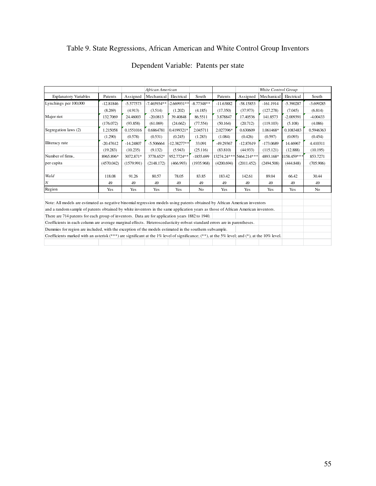# Table 9. State Regressions, African American and White Control Group Inventors

|                                                                                                                                                       |             |             | African American          |            |                |             |                         | White Control Group |             |             |
|-------------------------------------------------------------------------------------------------------------------------------------------------------|-------------|-------------|---------------------------|------------|----------------|-------------|-------------------------|---------------------|-------------|-------------|
| <b>Explanatory Variables</b>                                                                                                                          | Patents     | Assigned    | Mechanical                | Electrical | South          | Patents     | Assigned                | Mechanical          | Electrical  | South       |
| Lynchings per 100,000                                                                                                                                 | $-12.81846$ | $-5.577573$ | $-7.465934**$ -2.669931** |            | $-8.77348**$   | $-11.63882$ | $-58.15853$             | $-161.1914$         | $-5.390287$ | $-3.699285$ |
|                                                                                                                                                       | (8.269)     | (4.913)     | (3.514)                   | (1.202)    | (4.185)        | (17.350)    | (37.973)                | (127.278)           | (7.045)     | (6.814)     |
| Major riot                                                                                                                                            | 132.7069    | 24.46003    | $-20.0813$                | 39.40848   | 86.5511        | 3.878847    | 17.40536                | 141.8573            | $-2.009391$ | $-4.00433$  |
|                                                                                                                                                       | (176.072)   | (93.858)    | (61.069)                  | (24.662)   | (77.554)       | (50.164)    | (20.712)                | (119.103)           | (5.108)     | (4.086)     |
| Segregation laws (2)                                                                                                                                  | 1.215058    | 0.1551016   | 0.6864781                 | 0.4199321* | 2.045711       | 2.027396*   | 0.630609                | 1.061468*           | 0.1083483   | 0.5946363   |
|                                                                                                                                                       | (1.290)     | (0.578)     | (0.531)                   | (0.245)    | (1.283)        | (1.084)     | (0.426)                 | (0.597)             | (0.093)     | (0.454)     |
| Illiteracy rate                                                                                                                                       | $-20.47612$ | $-14.24807$ | $-5.506664$               | 12.38277** | 33.091         | -49.29367   | $-12.87619$             | $-173.0689$         | 14.46967    | 4.410311    |
|                                                                                                                                                       | (19.283)    | (10.235)    | (9.132)                   | (5.943)    | (25.116)       | (83.810)    | (44.933)                | (115.121)           | (12.888)    | (10.195)    |
| Number of firms,                                                                                                                                      | 8965.896*   | 3072.871*   | 3778.652*                 | 952.7724** | $-1855.699$    |             | 13274.24*** 5464.214*** | 4893.168*           | 1158.459*** | 853.7271    |
| per capita                                                                                                                                            | (4570.042)  | (1579.991)  | (2148.172)                | (466.993)  | (1935.968)     | (4200.694)  | (2011.452)              | (2494.508)          | (444.848)   | (705.906)   |
|                                                                                                                                                       |             |             |                           |            |                |             |                         |                     |             |             |
| Wald                                                                                                                                                  | 118.08      | 91.26       | 80.57                     | 78.05      | 83.85          | 183.42      | 142.61                  | 89.04               | 66.42       | 30.44       |
| N                                                                                                                                                     | 49          | 49          | 49                        | 49         | 49             | 49          | 49                      | 49                  | 49          | 49          |
| Region                                                                                                                                                | Yes         | Yes         | Yes                       | Yes        | N <sub>o</sub> | Yes         | Yes                     | Yes                 | Yes         | No          |
| Note: All models are estimated as negative binomial regression models using patents obtained by African American inventors                            |             |             |                           |            |                |             |                         |                     |             |             |
| and a random sample of patents obtained by white inventors in the same application years as those of African American inventors.                      |             |             |                           |            |                |             |                         |                     |             |             |
| There are 714 patents for each group of inventors. Data are for application years 1882 to 1940.                                                       |             |             |                           |            |                |             |                         |                     |             |             |
| Coefficients in each column are average marginal effects. Heteroscedasticity-robsut standard errors are in parentheses.                               |             |             |                           |            |                |             |                         |                     |             |             |
| Dummies for region are included, with the exception of the models estimated in the southern subsample.                                                |             |             |                           |            |                |             |                         |                     |             |             |
| Coefficients marked with an asterisk $(***)$ are significant at the 1% level of significance; $(**)$ , at the 5% level; and $(*)$ , at the 10% level. |             |             |                           |            |                |             |                         |                     |             |             |
|                                                                                                                                                       |             |             |                           |            |                |             |                         |                     |             |             |

# Dependent Variable: Patents per state